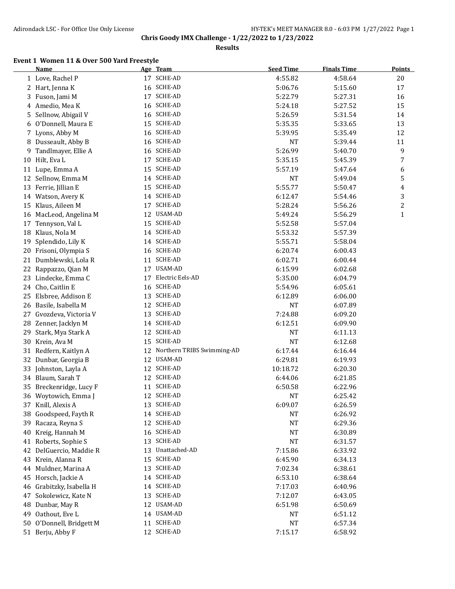**Results**

#### **Event 1 Women 11 & Over 500 Yard Freestyle**

|    | <b>Name</b>              |    | Age Team                   | <b>Seed Time</b> | <b>Finals Time</b> | <b>Points</b> |
|----|--------------------------|----|----------------------------|------------------|--------------------|---------------|
|    | 1 Love, Rachel P         |    | 17 SCHE-AD                 | 4:55.82          | 4:58.64            | 20            |
|    | 2 Hart, Jenna K          |    | 16 SCHE-AD                 | 5:06.76          | 5:15.60            | 17            |
| 3  | Fuson, Jami M            |    | 17 SCHE-AD                 | 5:22.79          | 5:27.31            | 16            |
| 4  | Amedio, Mea K            |    | 16 SCHE-AD                 | 5:24.18          | 5:27.52            | 15            |
| 5  | Sellnow, Abigail V       |    | 16 SCHE-AD                 | 5:26.59          | 5:31.54            | 14            |
| 6  | O'Donnell, Maura E       |    | 15 SCHE-AD                 | 5:35.35          | 5:33.65            | 13            |
| 7  | Lyons, Abby M            |    | 16 SCHE-AD                 | 5:39.95          | 5:35.49            | 12            |
| 8  | Dusseault, Abby B        | 16 | SCHE-AD                    | <b>NT</b>        | 5:39.44            | 11            |
| 9  | Tandlmayer, Ellie A      |    | 16 SCHE-AD                 | 5:26.99          | 5:40.70            | 9             |
| 10 | Hilt, Eva L              | 17 | SCHE-AD                    | 5:35.15          | 5:45.39            | 7             |
| 11 | Lupe, Emma A             |    | 15 SCHE-AD                 | 5:57.19          | 5:47.64            | 6             |
| 12 | Sellnow, Emma M          |    | 14 SCHE-AD                 | <b>NT</b>        | 5:49.04            | 5             |
| 13 | Ferrie, Jillian E        |    | 15 SCHE-AD                 | 5:55.77          | 5:50.47            | 4             |
|    | 14 Watson, Avery K       |    | 14 SCHE-AD                 | 6:12.47          | 5:54.46            | 3             |
| 15 | Klaus, Aileen M          | 17 | SCHE-AD                    | 5:28.24          | 5:56.26            | 2             |
| 16 | MacLeod, Angelina M      | 12 | USAM-AD                    | 5:49.24          | 5:56.29            | $\mathbf{1}$  |
| 17 | Tennyson, Val L          |    | 15 SCHE-AD                 | 5:52.58          | 5:57.04            |               |
| 18 | Klaus, Nola M            |    | 14 SCHE-AD                 | 5:53.32          | 5:57.39            |               |
| 19 | Splendido, Lily K        |    | 14 SCHE-AD                 | 5:55.71          | 5:58.04            |               |
|    | 20 Frisoni, Olympia S    |    | 16 SCHE-AD                 | 6:20.74          | 6:00.43            |               |
| 21 | Dumblewski, Lola R       |    | 11 SCHE-AD                 | 6:02.71          | 6:00.44            |               |
| 22 | Rappazzo, Qian M         |    | 17 USAM-AD                 | 6:15.99          | 6:02.68            |               |
| 23 | Lindecke, Emma C         | 17 | Electric Eels-AD           | 5:35.00          | 6:04.79            |               |
| 24 | Cho, Caitlin E           |    | 16 SCHE-AD                 | 5:54.96          | 6:05.61            |               |
| 25 | Elsbree, Addison E       |    | 13 SCHE-AD                 | 6:12.89          | 6:06.00            |               |
| 26 | Basile, Isabella M       |    | 12 SCHE-AD                 | <b>NT</b>        | 6:07.89            |               |
| 27 | Gvozdeva, Victoria V     |    | 13 SCHE-AD                 | 7:24.88          | 6:09.20            |               |
| 28 | Zenner, Jacklyn M        |    | 14 SCHE-AD                 | 6:12.51          | 6:09.90            |               |
| 29 | Stark, Mya Stark A       |    | 12 SCHE-AD                 | <b>NT</b>        | 6:11.13            |               |
| 30 | Krein, Ava M             |    | 15 SCHE-AD                 | <b>NT</b>        | 6:12.68            |               |
|    | 31 Redfern, Kaitlyn A    | 12 | Northern TRIBS Swimming-AD | 6:17.44          | 6:16.44            |               |
|    | 32 Dunbar, Georgia B     |    | 12 USAM-AD                 | 6:29.81          | 6:19.93            |               |
| 33 | Johnston, Layla A        |    | 12 SCHE-AD                 | 10:18.72         | 6:20.30            |               |
|    | 34 Blaum, Sarah T        |    | 12 SCHE-AD                 | 6:44.06          | 6:21.85            |               |
| 35 | Breckenridge, Lucy F     | 11 | SCHE-AD                    | 6:50.58          | 6:22.96            |               |
|    | 36 Woytowich, Emma J     |    | 12 SCHE-AD                 | <b>NT</b>        | 6:25.42            |               |
| 37 | Knill, Alexis A          |    | 13 SCHE-AD                 | 6:09.07          | 6:26.59            |               |
| 38 | Goodspeed, Fayth R       |    | 14 SCHE-AD                 | NT               | 6:26.92            |               |
| 39 | Racaza, Reyna S          |    | 12 SCHE-AD                 | NT               | 6:29.36            |               |
| 40 | Kreig, Hannah M          |    | 16 SCHE-AD                 | <b>NT</b>        | 6:30.89            |               |
| 41 | Roberts, Sophie S        | 13 | SCHE-AD                    | <b>NT</b>        | 6:31.57            |               |
| 42 | DelGuercio, Maddie R     | 13 | Unattached-AD              | 7:15.86          | 6:33.92            |               |
| 43 | Krein, Alanna R          | 15 | SCHE-AD                    | 6:45.90          | 6:34.13            |               |
| 44 | Muldner, Marina A        | 13 | SCHE-AD                    | 7:02.34          | 6:38.61            |               |
| 45 | Horsch, Jackie A         |    | 14 SCHE-AD                 | 6:53.10          | 6:38.64            |               |
|    | 46 Grabitzky, Isabella H |    | 14 SCHE-AD                 | 7:17.03          | 6:40.96            |               |
| 47 | Sokolewicz, Kate N       | 13 | SCHE-AD                    | 7:12.07          | 6:43.05            |               |
| 48 | Dunbar, May R            |    | 12 USAM-AD                 | 6:51.98          | 6:50.69            |               |
| 49 | Oathout, Eve L           |    | 14 USAM-AD                 | NT               | 6:51.12            |               |
| 50 | O'Donnell, Bridgett M    |    | 11 SCHE-AD                 | NT               | 6:57.34            |               |
|    | 51 Berju, Abby F         |    | 12 SCHE-AD                 | 7:15.17          | 6:58.92            |               |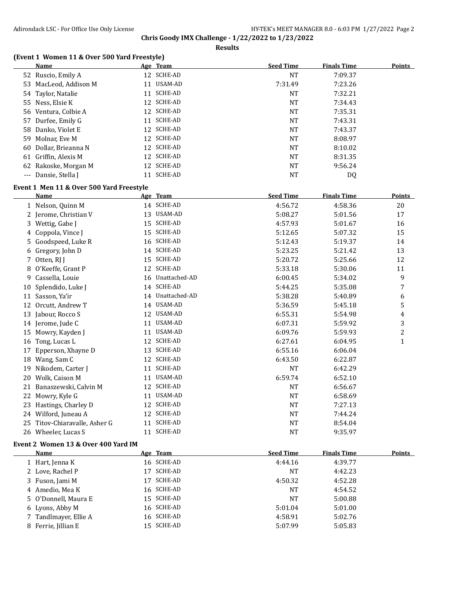**Results**

#### **(Event 1 Women 11 & Over 500 Yard Freestyle)**

| Name                  |    | Age Team   | <b>Seed Time</b> | <b>Finals Time</b> | Points |
|-----------------------|----|------------|------------------|--------------------|--------|
| 52 Ruscio, Emily A    |    | 12 SCHE-AD | NT               | 7:09.37            |        |
| 53 MacLeod, Addison M | 11 | USAM-AD    | 7:31.49          | 7:23.26            |        |
| 54 Taylor, Natalie    |    | 11 SCHE-AD | NT               | 7:32.21            |        |
| 55 Ness, Elsie K      |    | 12 SCHE-AD | NT               | 7:34.43            |        |
| 56 Ventura, Colbie A  |    | 12 SCHE-AD | <b>NT</b>        | 7:35.31            |        |
| 57 Durfee, Emily G    |    | 11 SCHE-AD | <b>NT</b>        | 7:43.31            |        |
| 58 Danko, Violet E    |    | 12 SCHE-AD | NT               | 7:43.37            |        |
| 59 Molnar, Eve M      |    | 12 SCHE-AD | NT               | 8:08.97            |        |
| 60 Dollar, Brieanna N |    | 12 SCHE-AD | NT               | 8:10.02            |        |
| 61 Griffin, Alexis M  |    | 12 SCHE-AD | NT               | 8:31.35            |        |
| 62 Rakoske, Morgan M  |    | 12 SCHE-AD | NT               | 9:56.24            |        |
| --- Dansie, Stella J  | 11 | SCHE-AD    | NT               | DQ                 |        |

#### **Event 1 Men 11 & Over 500 Yard Freestyle**

|    | Name                       |    | Age Team         | <b>Seed Time</b> | <b>Finals Time</b> | <b>Points</b> |
|----|----------------------------|----|------------------|------------------|--------------------|---------------|
|    | 1 Nelson, Quinn M          |    | 14 SCHE-AD       | 4:56.72          | 4:58.36            | 20            |
|    | 2 Jerome, Christian V      | 13 | <b>USAM-AD</b>   | 5:08.27          | 5:01.56            | 17            |
| 3. | Wettig, Gabe J             | 15 | <b>SCHE-AD</b>   | 4:57.93          | 5:01.67            | 16            |
| 4  | Coppola, Vince J           | 15 | <b>SCHE-AD</b>   | 5:12.65          | 5:07.32            | 15            |
| 5. | Goodspeed, Luke R          |    | 16 SCHE-AD       | 5:12.43          | 5:19.37            | 14            |
| 6  | Gregory, John D            |    | 14 SCHE-AD       | 5:23.25          | 5:21.42            | 13            |
| 7. | Otten, RJ J                | 15 | <b>SCHE-AD</b>   | 5:20.72          | 5:25.66            | 12            |
| 8  | O'Keeffe, Grant P          | 12 | <b>SCHE-AD</b>   | 5:33.18          | 5:30.06            | 11            |
| 9  | Cassella, Louie            |    | 16 Unattached-AD | 6:00.45          | 5:34.02            | 9             |
| 10 | Splendido, Luke J          |    | 14 SCHE-AD       | 5:44.25          | 5:35.08            | 7             |
| 11 | Sasson, Ya'ir              |    | 14 Unattached-AD | 5:38.28          | 5:40.89            | 6             |
| 12 | Orcutt, Andrew T           |    | 14 USAM-AD       | 5:36.59          | 5:45.18            | 5             |
| 13 | Jabour, Rocco S            | 12 | USAM-AD          | 6:55.31          | 5:54.98            | 4             |
| 14 | Jerome, Jude C             | 11 | <b>USAM-AD</b>   | 6:07.31          | 5:59.92            | 3             |
| 15 | Mowry, Kayden J            | 11 | <b>USAM-AD</b>   | 6:09.76          | 5:59.93            | 2             |
| 16 | Tong, Lucas L              | 12 | <b>SCHE-AD</b>   | 6:27.61          | 6:04.95            | $\mathbf{1}$  |
| 17 | Epperson, Xhayne D         | 13 | <b>SCHE-AD</b>   | 6:55.16          | 6:06.04            |               |
| 18 | Wang, Sam C                |    | 12 SCHE-AD       | 6:43.50          | 6:22.87            |               |
| 19 | Nikodem, Carter J          | 11 | <b>SCHE-AD</b>   | <b>NT</b>        | 6:42.29            |               |
| 20 | Wolk, Caison M             | 11 | USAM-AD          | 6:59.74          | 6:52.10            |               |
| 21 | Banaszewski, Calvin M      | 12 | <b>SCHE-AD</b>   | <b>NT</b>        | 6:56.67            |               |
| 22 | Mowry, Kyle G              | 11 | USAM-AD          | <b>NT</b>        | 6:58.69            |               |
| 23 | Hastings, Charley D        |    | 12 SCHE-AD       | <b>NT</b>        | 7:27.13            |               |
| 24 | Wilford, Juneau A          | 12 | <b>SCHE-AD</b>   | <b>NT</b>        | 7:44.24            |               |
| 25 | Titov-Chiaravalle, Asher G | 11 | <b>SCHE-AD</b>   | <b>NT</b>        | 8:54.04            |               |
| 26 | Wheeler, Lucas S           | 11 | <b>SCHE-AD</b>   | <b>NT</b>        | 9:35.97            |               |

#### **Event 2 Women 13 & Over 400 Yard IM**

| Name                  |    | Age Team   | <b>Seed Time</b> | <b>Finals Time</b> | <b>Points</b> |
|-----------------------|----|------------|------------------|--------------------|---------------|
| 1 Hart, Jenna K       |    | 16 SCHE-AD | 4:44.16          | 4:39.77            |               |
| 2 Love, Rachel P      |    | 17 SCHE-AD | NT               | 4:42.23            |               |
| 3 Fuson, Jami M       | 17 | SCHE-AD    | 4:50.32          | 4:52.28            |               |
| 4 Amedio, Mea K       |    | 16 SCHE-AD | NT               | 4:54.52            |               |
| 5 O'Donnell, Maura E  |    | 15 SCHE-AD | NT               | 5:00.88            |               |
| 6 Lyons, Abby M       |    | 16 SCHE-AD | 5:01.04          | 5:01.00            |               |
| 7 Tandlmayer, Ellie A |    | 16 SCHE-AD | 4:58.91          | 5:02.76            |               |
| 8 Ferrie, Jillian E   |    | 15 SCHE-AD | 5:07.99          | 5:05.83            |               |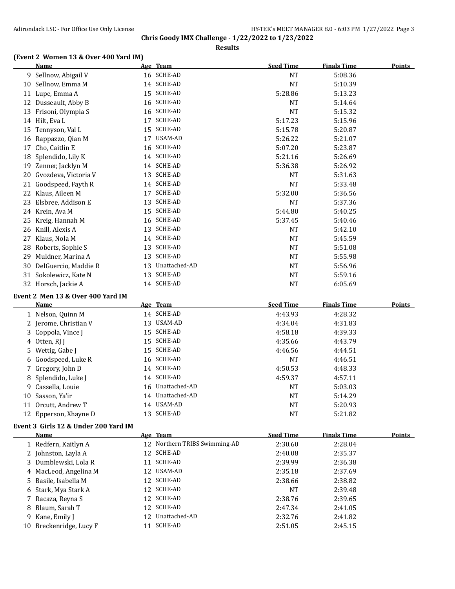**Results**

# **(Event 2 Women 13 & Over 400 Yard IM)**<br>Name Age Team

|    | Name                                     |    | Age Team                       | <b>Seed Time</b>   | <b>Finals Time</b> | <b>Points</b> |
|----|------------------------------------------|----|--------------------------------|--------------------|--------------------|---------------|
|    | 9 Sellnow, Abigail V                     |    | 16 SCHE-AD                     | NT                 | 5:08.36            |               |
| 10 | Sellnow, Emma M                          |    | 14 SCHE-AD                     | <b>NT</b>          | 5:10.39            |               |
|    | 11 Lupe, Emma A                          |    | 15 SCHE-AD                     | 5:28.86            | 5:13.23            |               |
|    | 12 Dusseault, Abby B                     |    | 16 SCHE-AD                     | <b>NT</b>          | 5:14.64            |               |
|    | 13 Frisoni, Olympia S                    |    | 16 SCHE-AD                     | <b>NT</b>          | 5:15.32            |               |
|    | 14 Hilt, Eva L                           | 17 | SCHE-AD                        | 5:17.23            | 5:15.96            |               |
| 15 | Tennyson, Val L                          | 15 | SCHE-AD                        | 5:15.78            | 5:20.87            |               |
|    | 16 Rappazzo, Qian M                      | 17 | USAM-AD                        | 5:26.22            | 5:21.07            |               |
|    | 17 Cho, Caitlin E                        | 16 | SCHE-AD                        | 5:07.20            | 5:23.87            |               |
| 18 | Splendido, Lily K                        |    | 14 SCHE-AD                     | 5:21.16            | 5:26.69            |               |
| 19 | Zenner, Jacklyn M                        |    | 14 SCHE-AD                     | 5:36.38            | 5:26.92            |               |
|    | 20 Gvozdeva, Victoria V                  |    | 13 SCHE-AD                     | <b>NT</b>          | 5:31.63            |               |
| 21 | Goodspeed, Fayth R                       |    | 14 SCHE-AD                     | <b>NT</b>          | 5:33.48            |               |
|    | 22 Klaus, Aileen M                       | 17 | SCHE-AD                        | 5:32.00            | 5:36.56            |               |
| 23 | Elsbree, Addison E                       | 13 | SCHE-AD                        | NT                 | 5:37.36            |               |
|    | 24 Krein, Ava M                          | 15 | SCHE-AD                        | 5:44.80            | 5:40.25            |               |
| 25 | Kreig, Hannah M                          |    | 16 SCHE-AD                     | 5:37.45            | 5:40.46            |               |
|    | 26 Knill, Alexis A                       | 13 | SCHE-AD                        | NT                 | 5:42.10            |               |
| 27 | Klaus, Nola M                            |    | 14 SCHE-AD                     | <b>NT</b>          | 5:45.59            |               |
| 28 | Roberts, Sophie S                        | 13 | SCHE-AD                        | <b>NT</b>          | 5:51.08            |               |
| 29 | Muldner, Marina A                        | 13 | SCHE-AD                        | <b>NT</b>          | 5:55.98            |               |
|    | 30 DelGuercio, Maddie R                  | 13 | Unattached-AD                  | <b>NT</b>          | 5:56.96            |               |
|    | 31 Sokolewicz, Kate N                    |    | 13 SCHE-AD                     | <b>NT</b>          | 5:59.16            |               |
|    | 32 Horsch, Jackie A                      |    | 14 SCHE-AD                     | <b>NT</b>          |                    |               |
|    |                                          |    |                                |                    | 6:05.69            |               |
|    |                                          |    |                                |                    |                    |               |
|    | Event 2 Men 13 & Over 400 Yard IM        |    |                                |                    |                    |               |
|    | <b>Name</b>                              |    | Age Team                       | <b>Seed Time</b>   | <b>Finals Time</b> | Points        |
|    | 1 Nelson, Quinn M                        |    | 14 SCHE-AD                     | 4:43.93            | 4:28.32            |               |
|    | 2 Jerome, Christian V                    |    | 13 USAM-AD                     | 4:34.04            | 4:31.83            |               |
| 3  | Coppola, Vince J                         |    | 15 SCHE-AD                     | 4:58.18            | 4:39.33            |               |
|    | 4 Otten, RJ J                            | 15 | SCHE-AD                        | 4:35.66            | 4:43.79            |               |
| 5  | Wettig, Gabe J                           |    | 15 SCHE-AD                     | 4:46.56            | 4:44.51            |               |
|    | 6 Goodspeed, Luke R                      |    | 16 SCHE-AD                     | NT                 | 4:46.51            |               |
|    | 7 Gregory, John D                        |    | 14 SCHE-AD                     | 4:50.53            | 4:48.33            |               |
| 8  | Splendido, Luke J                        |    | 14 SCHE-AD                     | 4:59.37            | 4:57.11            |               |
| 9. | Cassella, Louie                          |    | 16 Unattached-AD               | <b>NT</b>          | 5:03.03            |               |
|    | 10 Sasson, Ya'ir                         |    | 14 Unattached-AD               | <b>NT</b>          | 5:14.29            |               |
|    | 11 Orcutt, Andrew T                      |    | 14 USAM-AD                     | NT                 | 5:20.93            |               |
|    | 12 Epperson, Xhayne D                    |    | 13 SCHE-AD                     | <b>NT</b>          | 5:21.82            |               |
|    |                                          |    |                                |                    |                    |               |
|    | Event 3 Girls 12 & Under 200 Yard IM     |    |                                |                    |                    |               |
|    | <u>Name</u>                              |    | Age Team                       | <b>Seed Time</b>   | <b>Finals Time</b> | <b>Points</b> |
|    | 1 Redfern, Kaitlyn A                     |    | 12 Northern TRIBS Swimming-AD  | 2:30.60            | 2:28.04            |               |
|    | 2 Johnston, Layla A                      |    | 12 SCHE-AD                     | 2:40.08            | 2:35.37            |               |
|    | 3 Dumblewski, Lola R                     |    | 11 SCHE-AD                     | 2:39.99            | 2:36.38            |               |
|    | 4 MacLeod, Angelina M                    |    | 12 USAM-AD                     | 2:35.18            | 2:37.69            |               |
| 5. | Basile, Isabella M                       |    | 12 SCHE-AD                     | 2:38.66            | 2:38.82            |               |
|    | 6 Stark, Mya Stark A                     |    | 12 SCHE-AD                     | <b>NT</b>          | 2:39.48            |               |
| 7  | Racaza, Reyna S                          |    | 12 SCHE-AD                     | 2:38.76            | 2:39.65            |               |
| 8  | Blaum, Sarah T                           |    | 12 SCHE-AD                     | 2:47.34            | 2:41.05            |               |
| 9  | Kane, Emily J<br>10 Breckenridge, Lucy F |    | 12 Unattached-AD<br>11 SCHE-AD | 2:32.76<br>2:51.05 | 2:41.82<br>2:45.15 |               |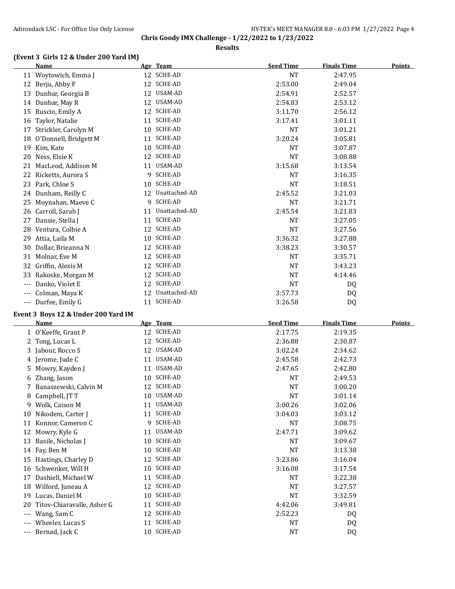**Results**

#### **(Event 3 Girls 12 & Under 200 Yard IM)**

|       | Name                  |    | Age Team         | <b>Seed Time</b> | <b>Finals Time</b> | <b>Points</b> |
|-------|-----------------------|----|------------------|------------------|--------------------|---------------|
| 11    | Woytowich, Emma J     |    | 12 SCHE-AD       | <b>NT</b>        | 2:47.95            |               |
| 12    | Berju, Abby F         | 12 | <b>SCHE-AD</b>   | 2:53.00          | 2:49.04            |               |
| 13    | Dunbar, Georgia B     | 12 | USAM-AD          | 2:54.91          | 2:52.57            |               |
| 14    | Dunbar, May R         | 12 | <b>USAM-AD</b>   | 2:54.83          | 2:53.12            |               |
| 15    | Ruscio, Emily A       | 12 | SCHE-AD          | 3:11.70          | 2:56.12            |               |
| 16    | Taylor, Natalie       | 11 | SCHE-AD          | 3:17.41          | 3:01.11            |               |
| 17    | Strickler, Carolyn M  | 10 | SCHE-AD          | <b>NT</b>        | 3:01.21            |               |
| 18    | O'Donnell, Bridgett M | 11 | SCHE-AD          | 3:20.24          | 3:05.81            |               |
| 19    | Kim, Kate             | 10 | SCHE-AD          | <b>NT</b>        | 3:07.87            |               |
| 20    | Ness, Elsie K         | 12 | SCHE-AD          | <b>NT</b>        | 3:08.88            |               |
| 21    | MacLeod, Addison M    |    | 11 USAM-AD       | 3:15.68          | 3:13.54            |               |
| 22    | Ricketts, Aurora S    | 9  | <b>SCHE-AD</b>   | <b>NT</b>        | 3:16.35            |               |
| 23    | Park, Chloe S         | 10 | SCHE-AD          | <b>NT</b>        | 3:18.51            |               |
|       | 24 Dunham, Reilly C   |    | 12 Unattached-AD | 2:45.52          | 3:21.03            |               |
| 25    | Moynahan, Maeve C     | 9  | <b>SCHE-AD</b>   | <b>NT</b>        | 3:21.71            |               |
| 26    | Carroll, Sarah J      | 11 | Unattached-AD    | 2:45.54          | 3:21.83            |               |
| 27    | Dansie, Stella I      | 11 | SCHE-AD          | <b>NT</b>        | 3:27.05            |               |
| 28    | Ventura, Colbie A     | 12 | SCHE-AD          | <b>NT</b>        | 3:27.56            |               |
| 29    | Attia, Laila M        |    | 10 SCHE-AD       | 3:36.32          | 3:27.88            |               |
| 30    | Dollar, Brieanna N    | 12 | SCHE-AD          | 3:38.23          | 3:30.57            |               |
| 31    | Molnar, Eve M         | 12 | <b>SCHE-AD</b>   | <b>NT</b>        | 3:35.71            |               |
| 32    | Griffin, Alexis M     |    | 12 SCHE-AD       | <b>NT</b>        | 3:43.23            |               |
| 33    | Rakoske, Morgan M     | 12 | SCHE-AD          | <b>NT</b>        | 4:14.46            |               |
| $---$ | Danko, Violet E       | 12 | <b>SCHE-AD</b>   | <b>NT</b>        | DQ                 |               |
| ---   | Colman, Maya K        | 12 | Unattached-AD    | 3:57.73          | DQ                 |               |
| $---$ | Durfee, Emily G       | 11 | SCHE-AD          | 3:26.58          | DQ                 |               |
|       |                       |    |                  |                  |                    |               |

#### **Event 3 Boys 12 & Under 200 Yard IM**

|                | <b>Name</b>                |    | Age Team   | <b>Seed Time</b> | <b>Finals Time</b> | <b>Points</b> |
|----------------|----------------------------|----|------------|------------------|--------------------|---------------|
|                | 1 O'Keeffe, Grant P        | 12 | SCHE-AD    | 2:17.75          | 2:19.35            |               |
| $\mathbf{2}^-$ | Tong, Lucas L              | 12 | SCHE-AD    | 2:36.88          | 2:30.87            |               |
|                | 3 Jabour, Rocco S          | 12 | USAM-AD    | 3:02.24          | 2:34.62            |               |
|                | 4 Jerome, Jude C           | 11 | USAM-AD    | 2:45.58          | 2:42.73            |               |
| 5.             | Mowry, Kayden J            | 11 | USAM-AD    | 2:47.65          | 2:42.80            |               |
| 6              | Zhang, Jason               | 10 | SCHE-AD    | <b>NT</b>        | 2:49.53            |               |
|                | Banaszewski, Calvin M      | 12 | SCHE-AD    | NT               | 3:00.20            |               |
| 8              | Campbell, JT T             | 10 | USAM-AD    | <b>NT</b>        | 3:01.14            |               |
| 9.             | Wolk, Caison M             | 11 | USAM-AD    | 3:00.26          | 3:02.06            |               |
| 10             | Nikodem, Carter J          | 11 | SCHE-AD    | 3:04.03          | 3:03.12            |               |
| 11             | Konnor, Cameron C          | 9  | SCHE-AD    | <b>NT</b>        | 3:08.75            |               |
| 12             | Mowry, Kyle G              | 11 | USAM-AD    | 2:47.71          | 3:09.62            |               |
| 13             | Basile, Nicholas J         | 10 | SCHE-AD    | NT               | 3:09.67            |               |
|                | 14 Fay, Ben M              | 10 | SCHE-AD    | NT               | 3:13.38            |               |
| 15             | Hastings, Charley D        | 12 | SCHE-AD    | 3:23.86          | 3:16.04            |               |
| 16             | Schwenker, Will H          |    | 10 SCHE-AD | 3:16.08          | 3:17.54            |               |
| 17             | Dashiell, Michael W        | 11 | SCHE-AD    | <b>NT</b>        | 3:22.38            |               |
| 18             | Wilford, Juneau A          | 12 | SCHE-AD    | <b>NT</b>        | 3:27.57            |               |
| 19             | Lucas, Daniel M            | 10 | SCHE-AD    | <b>NT</b>        | 3:32.59            |               |
| 20             | Titov-Chiaravalle, Asher G | 11 | SCHE-AD    | 4:42.06          | 3:49.81            |               |
| $---$          | Wang, Sam C                |    | 12 SCHE-AD | 2:52.23          | DQ                 |               |
| $---$          | Wheeler, Lucas S           | 11 | SCHE-AD    | NT               | DQ                 |               |
| ---            | Bernad, Jack C             |    | 10 SCHE-AD | <b>NT</b>        | DQ                 |               |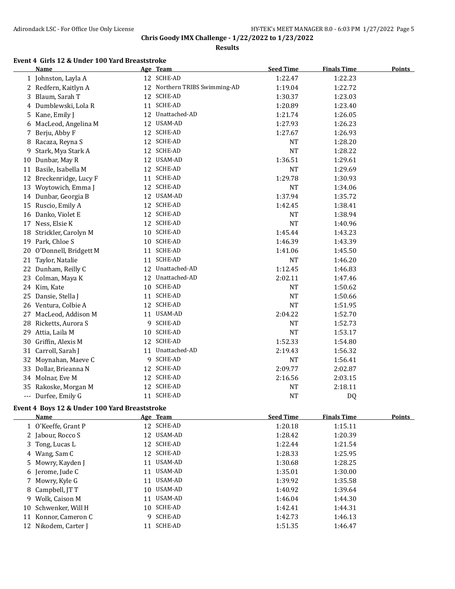**Results**

### **Event 4 Girls 12 & Under 100 Yard Breaststroke**

|     | Name                  |    | Age Team                      | <b>Seed Time</b> | <b>Finals Time</b> | <b>Points</b> |
|-----|-----------------------|----|-------------------------------|------------------|--------------------|---------------|
|     | 1 Johnston, Layla A   |    | 12 SCHE-AD                    | 1:22.47          | 1:22.23            |               |
| 2   | Redfern, Kaitlyn A    |    | 12 Northern TRIBS Swimming-AD | 1:19.04          | 1:22.72            |               |
| 3   | Blaum, Sarah T        | 12 | <b>SCHE-AD</b>                | 1:30.37          | 1:23.03            |               |
| 4   | Dumblewski, Lola R    | 11 | SCHE-AD                       | 1:20.89          | 1:23.40            |               |
| 5   | Kane, Emily J         |    | 12 Unattached-AD              | 1:21.74          | 1:26.05            |               |
| 6   | MacLeod, Angelina M   | 12 | USAM-AD                       | 1:27.93          | 1:26.23            |               |
| 7   | Berju, Abby F         | 12 | SCHE-AD                       | 1:27.67          | 1:26.93            |               |
| 8   | Racaza, Reyna S       |    | 12 SCHE-AD                    | <b>NT</b>        | 1:28.20            |               |
| 9   | Stark, Mya Stark A    |    | 12 SCHE-AD                    | <b>NT</b>        | 1:28.22            |               |
| 10  | Dunbar, May R         |    | 12 USAM-AD                    | 1:36.51          | 1:29.61            |               |
| 11  | Basile, Isabella M    | 12 | SCHE-AD                       | <b>NT</b>        | 1:29.69            |               |
| 12  | Breckenridge, Lucy F  | 11 | SCHE-AD                       | 1:29.78          | 1:30.93            |               |
| 13  | Woytowich, Emma J     | 12 | SCHE-AD                       | <b>NT</b>        | 1:34.06            |               |
| 14  | Dunbar, Georgia B     | 12 | USAM-AD                       | 1:37.94          | 1:35.72            |               |
| 15  | Ruscio, Emily A       | 12 | <b>SCHE-AD</b>                | 1:42.45          | 1:38.41            |               |
| 16  | Danko, Violet E       | 12 | SCHE-AD                       | <b>NT</b>        | 1:38.94            |               |
| 17  | Ness, Elsie K         |    | 12 SCHE-AD                    | <b>NT</b>        | 1:40.96            |               |
| 18  | Strickler, Carolyn M  |    | 10 SCHE-AD                    | 1:45.44          | 1:43.23            |               |
| 19  | Park, Chloe S         |    | 10 SCHE-AD                    | 1:46.39          | 1:43.39            |               |
| 20  | O'Donnell, Bridgett M |    | 11 SCHE-AD                    | 1:41.06          | 1:45.50            |               |
| 21  | Taylor, Natalie       |    | 11 SCHE-AD                    | <b>NT</b>        | 1:46.20            |               |
| 22  | Dunham, Reilly C      |    | 12 Unattached-AD              | 1:12.45          | 1:46.83            |               |
| 23  | Colman, Maya K        |    | 12 Unattached-AD              | 2:02.11          | 1:47.46            |               |
| 24  | Kim, Kate             |    | 10 SCHE-AD                    | <b>NT</b>        | 1:50.62            |               |
| 25  | Dansie, Stella J      | 11 | SCHE-AD                       | <b>NT</b>        | 1:50.66            |               |
|     | 26 Ventura, Colbie A  |    | 12 SCHE-AD                    | <b>NT</b>        | 1:51.95            |               |
| 27  | MacLeod, Addison M    |    | 11 USAM-AD                    | 2:04.22          | 1:52.70            |               |
| 28  | Ricketts, Aurora S    | 9  | SCHE-AD                       | <b>NT</b>        | 1:52.73            |               |
| 29  | Attia, Laila M        |    | 10 SCHE-AD                    | <b>NT</b>        | 1:53.17            |               |
| 30  | Griffin, Alexis M     |    | 12 SCHE-AD                    | 1:52.33          | 1:54.80            |               |
|     | 31 Carroll, Sarah J   |    | 11 Unattached-AD              | 2:19.43          | 1:56.32            |               |
| 32  | Moynahan, Maeve C     |    | 9 SCHE-AD                     | <b>NT</b>        | 1:56.41            |               |
| 33  | Dollar, Brieanna N    |    | 12 SCHE-AD                    | 2:09.77          | 2:02.87            |               |
|     | 34 Molnar, Eve M      |    | 12 SCHE-AD                    | 2:16.56          | 2:03.15            |               |
|     | 35 Rakoske, Morgan M  |    | 12 SCHE-AD                    | <b>NT</b>        | 2:18.11            |               |
| --- | Durfee, Emily G       | 11 | <b>SCHE-AD</b>                | <b>NT</b>        | <b>DQ</b>          |               |

#### **Event 4 Boys 12 & Under 100 Yard Breaststroke**

| <b>Name</b>          |    | Age Team       | <b>Seed Time</b> | <b>Finals Time</b> | <b>Points</b> |
|----------------------|----|----------------|------------------|--------------------|---------------|
| 1 O'Keeffe, Grant P  |    | 12 SCHE-AD     | 1:20.18          | 1:15.11            |               |
| 2 Jabour, Rocco S    |    | 12 USAM-AD     | 1:28.42          | 1:20.39            |               |
| 3 Tong, Lucas L      |    | 12 SCHE-AD     | 1:22.44          | 1:21.54            |               |
| 4 Wang, Sam C        |    | 12 SCHE-AD     | 1:28.33          | 1:25.95            |               |
| 5 Mowry, Kayden J    |    | 11 USAM-AD     | 1:30.68          | 1:28.25            |               |
| 6 Jerome, Jude C     | 11 | USAM-AD        | 1:35.01          | 1:30.00            |               |
| 7 Mowry, Kyle G      | 11 | USAM-AD        | 1:39.92          | 1:35.58            |               |
| 8 Campbell, IT T     |    | 10 USAM-AD     | 1:40.92          | 1:39.64            |               |
| 9 Wolk, Caison M     |    | 11 USAM-AD     | 1:46.04          | 1:44.30            |               |
| 10 Schwenker, Will H |    | 10 SCHE-AD     | 1:42.41          | 1:44.31            |               |
| 11 Konnor, Cameron C | Q. | SCHE-AD        | 1:42.73          | 1:46.13            |               |
| 12 Nikodem, Carter J | 11 | <b>SCHE-AD</b> | 1:51.35          | 1:46.47            |               |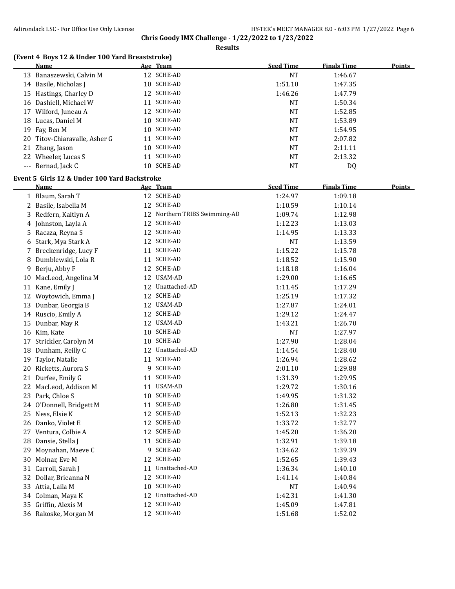**Results**

### **(Event 4 Boys 12 & Under 100 Yard Breaststroke)**

|    | Name                          |     | Age Team   | <b>Seed Time</b> | <b>Finals Time</b> | <b>Points</b> |
|----|-------------------------------|-----|------------|------------------|--------------------|---------------|
|    | 13 Banaszewski, Calvin M      | 12  | SCHE-AD    | NT               | 1:46.67            |               |
|    | 14 Basile, Nicholas J         | 10  | SCHE-AD    | 1:51.10          | 1:47.35            |               |
|    | 15 Hastings, Charley D        |     | 12 SCHE-AD | 1:46.26          | 1:47.79            |               |
| 16 | Dashiell, Michael W           | 11  | SCHE-AD    | NT               | 1:50.34            |               |
|    | 17 Wilford, Juneau A          |     | 12 SCHE-AD | <b>NT</b>        | 1:52.85            |               |
| 18 | Lucas, Daniel M               | 10. | SCHE-AD    | NT               | 1:53.89            |               |
|    | 19 Fay, Ben M                 | 10  | SCHE-AD    | NT               | 1:54.95            |               |
|    | 20 Titov-Chiaravalle, Asher G | 11  | SCHE-AD    | NT               | 2:07.82            |               |
|    | 21 Zhang, Jason               | 10. | SCHE-AD    | <b>NT</b>        | 2:11.11            |               |
|    | 22 Wheeler, Lucas S           | 11  | SCHE-AD    | NT               | 2:13.32            |               |
|    | --- Bernad, Jack C            | 10. | SCHE-AD    | NT               | DQ                 |               |

#### **Event 5 Girls 12 & Under 100 Yard Backstroke**

|    | <u>Name</u>              |    | Age Team                      | <b>Seed Time</b> | <b>Finals Time</b> | <b>Points</b> |
|----|--------------------------|----|-------------------------------|------------------|--------------------|---------------|
|    | 1 Blaum, Sarah T         |    | 12 SCHE-AD                    | 1:24.97          | 1:09.18            |               |
|    | 2 Basile, Isabella M     |    | 12 SCHE-AD                    | 1:10.59          | 1:10.14            |               |
|    | 3 Redfern, Kaitlyn A     |    | 12 Northern TRIBS Swimming-AD | 1:09.74          | 1:12.98            |               |
|    | 4 Johnston, Layla A      |    | 12 SCHE-AD                    | 1:12.23          | 1:13.03            |               |
|    | 5 Racaza, Reyna S        |    | 12 SCHE-AD                    | 1:14.95          | 1:13.33            |               |
| 6  | Stark, Mya Stark A       |    | 12 SCHE-AD                    | NT               | 1:13.59            |               |
|    | 7 Breckenridge, Lucy F   |    | 11 SCHE-AD                    | 1:15.22          | 1:15.78            |               |
|    | 8 Dumblewski, Lola R     |    | 11 SCHE-AD                    | 1:18.52          | 1:15.90            |               |
| 9. | Berju, Abby F            |    | 12 SCHE-AD                    | 1:18.18          | 1:16.04            |               |
|    | 10 MacLeod, Angelina M   |    | 12 USAM-AD                    | 1:29.00          | 1:16.65            |               |
|    | 11 Kane, Emily J         |    | 12 Unattached-AD              | 1:11.45          | 1:17.29            |               |
|    | 12 Woytowich, Emma J     |    | 12 SCHE-AD                    | 1:25.19          | 1:17.32            |               |
|    | 13 Dunbar, Georgia B     |    | 12 USAM-AD                    | 1:27.87          | 1:24.01            |               |
|    | 14 Ruscio, Emily A       |    | 12 SCHE-AD                    | 1:29.12          | 1:24.47            |               |
|    | 15 Dunbar, May R         |    | 12 USAM-AD                    | 1:43.21          | 1:26.70            |               |
|    | 16 Kim, Kate             |    | 10 SCHE-AD                    | <b>NT</b>        | 1:27.97            |               |
|    | 17 Strickler, Carolyn M  |    | 10 SCHE-AD                    | 1:27.90          | 1:28.04            |               |
|    | 18 Dunham, Reilly C      |    | 12 Unattached-AD              | 1:14.54          | 1:28.40            |               |
|    | 19 Taylor, Natalie       |    | 11 SCHE-AD                    | 1:26.94          | 1:28.62            |               |
|    | 20 Ricketts, Aurora S    |    | 9 SCHE-AD                     | 2:01.10          | 1:29.88            |               |
|    | 21 Durfee, Emily G       |    | 11 SCHE-AD                    | 1:31.39          | 1:29.95            |               |
|    | 22 MacLeod, Addison M    |    | 11 USAM-AD                    | 1:29.72          | 1:30.16            |               |
|    | 23 Park, Chloe S         |    | 10 SCHE-AD                    | 1:49.95          | 1:31.32            |               |
|    | 24 O'Donnell, Bridgett M | 11 | SCHE-AD                       | 1:26.80          | 1:31.45            |               |
|    | 25 Ness, Elsie K         |    | 12 SCHE-AD                    | 1:52.13          | 1:32.23            |               |
|    | 26 Danko, Violet E       |    | 12 SCHE-AD                    | 1:33.72          | 1:32.77            |               |
|    | 27 Ventura, Colbie A     |    | 12 SCHE-AD                    | 1:45.20          | 1:36.20            |               |
|    | 28 Dansie, Stella J      |    | 11 SCHE-AD                    | 1:32.91          | 1:39.18            |               |
|    | 29 Moynahan, Maeve C     |    | 9 SCHE-AD                     | 1:34.62          | 1:39.39            |               |
|    | 30 Molnar, Eve M         |    | 12 SCHE-AD                    | 1:52.65          | 1:39.43            |               |
|    | 31 Carroll, Sarah J      |    | 11 Unattached-AD              | 1:36.34          | 1:40.10            |               |
|    | 32 Dollar, Brieanna N    |    | 12 SCHE-AD                    | 1:41.14          | 1:40.84            |               |
|    | 33 Attia, Laila M        |    | 10 SCHE-AD                    | <b>NT</b>        | 1:40.94            |               |
|    | 34 Colman, Maya K        |    | 12 Unattached-AD              | 1:42.31          | 1:41.30            |               |
|    | 35 Griffin, Alexis M     |    | 12 SCHE-AD                    | 1:45.09          | 1:47.81            |               |
|    | 36 Rakoske, Morgan M     |    | 12 SCHE-AD                    | 1:51.68          | 1:52.02            |               |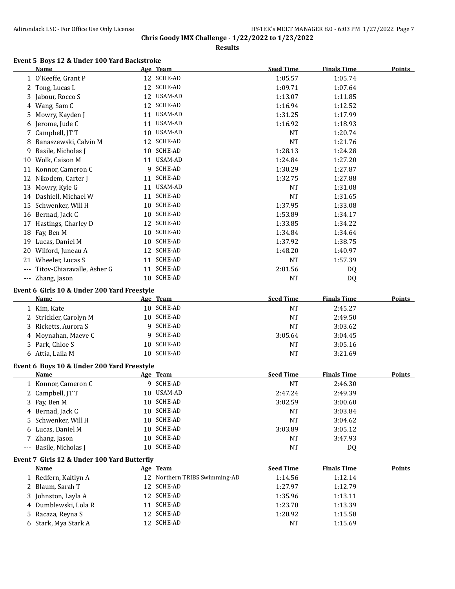**Results**

#### **Event 5 Boys 12 & Under 100 Yard Backstroke**

|       | <b>Name</b>                                 |    | Age Team                      | <b>Seed Time</b> | <b>Finals Time</b> | <b>Points</b> |
|-------|---------------------------------------------|----|-------------------------------|------------------|--------------------|---------------|
|       | 1 O'Keeffe, Grant P                         |    | 12 SCHE-AD                    | 1:05.57          | 1:05.74            |               |
|       | 2 Tong, Lucas L                             |    | 12 SCHE-AD                    | 1:09.71          | 1:07.64            |               |
| 3     | Jabour, Rocco S                             |    | 12 USAM-AD                    | 1:13.07          | 1:11.85            |               |
| 4     | Wang, Sam C                                 |    | 12 SCHE-AD                    | 1:16.94          | 1:12.52            |               |
| 5     | Mowry, Kayden J                             |    | 11 USAM-AD                    | 1:31.25          | 1:17.99            |               |
| 6     | Jerome, Jude C                              |    | 11 USAM-AD                    | 1:16.92          | 1:18.93            |               |
| 7     | Campbell, JT T                              |    | 10 USAM-AD                    | <b>NT</b>        | 1:20.74            |               |
| 8     | Banaszewski, Calvin M                       |    | 12 SCHE-AD                    | <b>NT</b>        | 1:21.76            |               |
| 9     | Basile, Nicholas J                          |    | 10 SCHE-AD                    | 1:28.13          | 1:24.28            |               |
| 10    | Wolk, Caison M                              |    | 11 USAM-AD                    | 1:24.84          | 1:27.20            |               |
|       | 11 Konnor, Cameron C                        |    | 9 SCHE-AD                     | 1:30.29          | 1:27.87            |               |
| 12    | Nikodem, Carter J                           | 11 | SCHE-AD                       | 1:32.75          | 1:27.88            |               |
| 13    | Mowry, Kyle G                               |    | 11 USAM-AD                    | <b>NT</b>        | 1:31.08            |               |
|       | 14 Dashiell, Michael W                      | 11 | SCHE-AD                       | <b>NT</b>        | 1:31.65            |               |
| 15    | Schwenker, Will H                           | 10 | SCHE-AD                       | 1:37.95          | 1:33.08            |               |
| 16    | Bernad, Jack C                              |    | 10 SCHE-AD                    | 1:53.89          | 1:34.17            |               |
| 17    | Hastings, Charley D                         |    | 12 SCHE-AD                    | 1:33.85          | 1:34.22            |               |
| 18    | Fay, Ben M                                  |    | 10 SCHE-AD                    | 1:34.84          | 1:34.64            |               |
| 19    | Lucas, Daniel M                             |    | 10 SCHE-AD                    | 1:37.92          | 1:38.75            |               |
| 20    | Wilford, Juneau A                           |    | 12 SCHE-AD                    | 1:48.20          | 1:40.97            |               |
|       | 21 Wheeler, Lucas S                         |    | 11 SCHE-AD                    | <b>NT</b>        | 1:57.39            |               |
|       | --- Titov-Chiaravalle, Asher G              |    | 11 SCHE-AD                    | 2:01.56          | DQ                 |               |
|       | --- Zhang, Jason                            |    | 10 SCHE-AD                    | <b>NT</b>        | DQ                 |               |
|       |                                             |    |                               |                  |                    |               |
|       | Event 6 Girls 10 & Under 200 Yard Freestyle |    |                               |                  |                    |               |
|       | <b>Name</b>                                 |    | Age Team                      | <b>Seed Time</b> | <b>Finals Time</b> | <b>Points</b> |
|       | 1 Kim, Kate                                 |    | 10 SCHE-AD                    | <b>NT</b>        | 2:45.27            |               |
|       | Strickler, Carolyn M                        |    | 10 SCHE-AD                    | <b>NT</b>        | 2:49.50            |               |
| 3     | Ricketts, Aurora S                          | 9  | SCHE-AD                       | <b>NT</b>        | 3:03.62            |               |
| 4     | Moynahan, Maeve C                           | 9. | SCHE-AD                       | 3:05.64          | 3:04.45            |               |
| 5     | Park, Chloe S                               |    | 10 SCHE-AD                    | NT               | 3:05.16            |               |
|       | 6 Attia, Laila M                            |    | 10 SCHE-AD                    | <b>NT</b>        | 3:21.69            |               |
|       | Event 6 Boys 10 & Under 200 Yard Freestyle  |    |                               |                  |                    |               |
|       | <b>Name</b>                                 |    | Age Team                      | <b>Seed Time</b> | <b>Finals Time</b> | <b>Points</b> |
|       | 1 Konnor, Cameron C                         |    | 9 SCHE-AD                     | <b>NT</b>        | 2:46.30            |               |
|       | 2 Campbell, JT T                            |    | 10 USAM-AD                    | 2:47.24          | 2:49.39            |               |
|       | 3 Fay, Ben M                                |    | 10 SCHE-AD                    | 3:02.59          | 3:00.60            |               |
|       | 4 Bernad, Jack C                            |    | 10 SCHE-AD                    | NT               | 3:03.84            |               |
| 5     | Schwenker, Will H                           |    | 10 SCHE-AD                    | <b>NT</b>        | 3:04.62            |               |
| 6     | Lucas, Daniel M                             |    | 10 SCHE-AD                    | 3:03.89          | 3:05.12            |               |
| 7.    | Zhang, Jason                                |    | 10 SCHE-AD                    | NT               | 3:47.93            |               |
| $---$ | Basile, Nicholas J                          |    | 10 SCHE-AD                    | <b>NT</b>        | DQ                 |               |
|       |                                             |    |                               |                  |                    |               |
|       | Event 7 Girls 12 & Under 100 Yard Butterfly |    |                               | <b>Seed Time</b> |                    |               |
|       | Name                                        |    | Age Team                      |                  | <b>Finals Time</b> | <b>Points</b> |
|       | 1 Redfern, Kaitlyn A                        |    | 12 Northern TRIBS Swimming-AD | 1:14.56          | 1:12.14            |               |
| 2     | Blaum, Sarah T                              |    | 12 SCHE-AD                    | 1:27.97          | 1:12.79            |               |
| 3     | Johnston, Layla A                           |    | 12 SCHE-AD                    | 1:35.96          | 1:13.11            |               |
| 4     | Dumblewski, Lola R                          |    | 11 SCHE-AD                    | 1:23.70          | 1:13.39            |               |
| 5     | Racaza, Reyna S                             |    | 12 SCHE-AD                    | 1:20.92          | 1:15.58            |               |
| 6     | Stark, Mya Stark A                          |    | 12 SCHE-AD                    | NT               | 1:15.69            |               |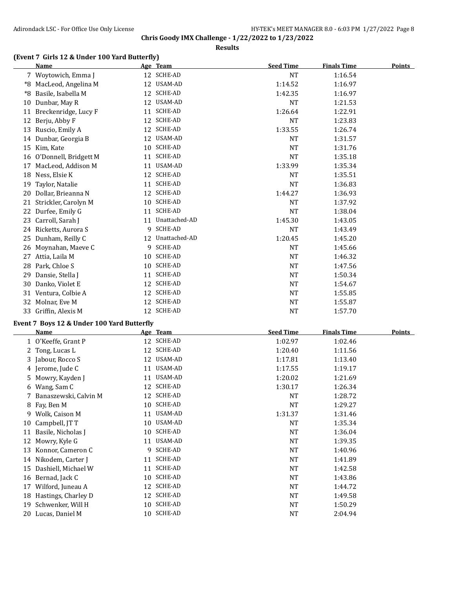**Results**

#### **(Event 7 Girls 12 & Under 100 Yard Butterfly)**

|    | <b>Name</b>           |    | Age Team       | <b>Seed Time</b> | <b>Finals Time</b> | <b>Points</b> |
|----|-----------------------|----|----------------|------------------|--------------------|---------------|
|    | 7 Woytowich, Emma J   | 12 | SCHE-AD        | <b>NT</b>        | 1:16.54            |               |
| *8 | MacLeod, Angelina M   | 12 | USAM-AD        | 1:14.52          | 1:16.97            |               |
| *8 | Basile, Isabella M    | 12 | <b>SCHE-AD</b> | 1:42.35          | 1:16.97            |               |
| 10 | Dunbar, May R         | 12 | <b>USAM-AD</b> | <b>NT</b>        | 1:21.53            |               |
| 11 | Breckenridge, Lucy F  | 11 | <b>SCHE-AD</b> | 1:26.64          | 1:22.91            |               |
| 12 | Berju, Abby F         | 12 | <b>SCHE-AD</b> | <b>NT</b>        | 1:23.83            |               |
| 13 | Ruscio, Emily A       | 12 | <b>SCHE-AD</b> | 1:33.55          | 1:26.74            |               |
| 14 | Dunbar, Georgia B     | 12 | <b>USAM-AD</b> | <b>NT</b>        | 1:31.57            |               |
| 15 | Kim, Kate             | 10 | <b>SCHE-AD</b> | <b>NT</b>        | 1:31.76            |               |
| 16 | O'Donnell, Bridgett M | 11 | <b>SCHE-AD</b> | <b>NT</b>        | 1:35.18            |               |
| 17 | MacLeod, Addison M    | 11 | USAM-AD        | 1:33.99          | 1:35.34            |               |
| 18 | Ness, Elsie K         | 12 | <b>SCHE-AD</b> | <b>NT</b>        | 1:35.51            |               |
| 19 | Taylor, Natalie       | 11 | <b>SCHE-AD</b> | <b>NT</b>        | 1:36.83            |               |
| 20 | Dollar, Brieanna N    | 12 | <b>SCHE-AD</b> | 1:44.27          | 1:36.93            |               |
| 21 | Strickler, Carolyn M  | 10 | <b>SCHE-AD</b> | <b>NT</b>        | 1:37.92            |               |
| 22 | Durfee, Emily G       | 11 | <b>SCHE-AD</b> | <b>NT</b>        | 1:38.04            |               |
| 23 | Carroll, Sarah J      | 11 | Unattached-AD  | 1:45.30          | 1:43.05            |               |
| 24 | Ricketts, Aurora S    | 9  | <b>SCHE-AD</b> | NT               | 1:43.49            |               |
| 25 | Dunham, Reilly C      | 12 | Unattached-AD  | 1:20.45          | 1:45.20            |               |
| 26 | Moynahan, Maeve C     | 9  | <b>SCHE-AD</b> | <b>NT</b>        | 1:45.66            |               |
| 27 | Attia, Laila M        | 10 | <b>SCHE-AD</b> | <b>NT</b>        | 1:46.32            |               |
| 28 | Park, Chloe S         | 10 | <b>SCHE-AD</b> | <b>NT</b>        | 1:47.56            |               |
| 29 | Dansie, Stella J      | 11 | <b>SCHE-AD</b> | <b>NT</b>        | 1:50.34            |               |
| 30 | Danko, Violet E       | 12 | <b>SCHE-AD</b> | <b>NT</b>        | 1:54.67            |               |
| 31 | Ventura, Colbie A     | 12 | <b>SCHE-AD</b> | <b>NT</b>        | 1:55.85            |               |
| 32 | Molnar, Eve M         | 12 | <b>SCHE-AD</b> | <b>NT</b>        | 1:55.87            |               |
| 33 | Griffin, Alexis M     | 12 | <b>SCHE-AD</b> | <b>NT</b>        | 1:57.70            |               |

#### **Event 7 Boys 12 & Under 100 Yard Butterfly**

|    | Name                  |    | Age Team       | <b>Seed Time</b> | <b>Finals Time</b> | <b>Points</b> |
|----|-----------------------|----|----------------|------------------|--------------------|---------------|
|    | 1 O'Keeffe, Grant P   | 12 | SCHE-AD        | 1:02.97          | 1:02.46            |               |
|    | 2 Tong, Lucas L       | 12 | SCHE-AD        | 1:20.40          | 1:11.56            |               |
|    | 3 Jabour, Rocco S     | 12 | USAM-AD        | 1:17.81          | 1:13.40            |               |
|    | 4 Jerome, Jude C      | 11 | USAM-AD        | 1:17.55          | 1:19.17            |               |
|    | 5 Mowry, Kayden J     | 11 | USAM-AD        | 1:20.02          | 1:21.69            |               |
|    | 6 Wang, Sam C         | 12 | SCHE-AD        | 1:30.17          | 1:26.34            |               |
| 7  | Banaszewski, Calvin M | 12 | <b>SCHE-AD</b> | <b>NT</b>        | 1:28.72            |               |
|    | 8 Fay, Ben M          | 10 | SCHE-AD        | <b>NT</b>        | 1:29.27            |               |
| 9  | Wolk, Caison M        | 11 | USAM-AD        | 1:31.37          | 1:31.46            |               |
| 10 | Campbell, JT T        | 10 | USAM-AD        | NT               | 1:35.34            |               |
| 11 | Basile, Nicholas J    | 10 | SCHE-AD        | NT               | 1:36.04            |               |
| 12 | Mowry, Kyle G         | 11 | USAM-AD        | <b>NT</b>        | 1:39.35            |               |
| 13 | Konnor, Cameron C     | 9  | SCHE-AD        | <b>NT</b>        | 1:40.96            |               |
| 14 | Nikodem, Carter J     | 11 | SCHE-AD        | <b>NT</b>        | 1:41.89            |               |
| 15 | Dashiell, Michael W   | 11 | <b>SCHE-AD</b> | <b>NT</b>        | 1:42.58            |               |
| 16 | Bernad, Jack C        | 10 | SCHE-AD        | NT               | 1:43.86            |               |
| 17 | Wilford, Juneau A     | 12 | <b>SCHE-AD</b> | <b>NT</b>        | 1:44.72            |               |
| 18 | Hastings, Charley D   | 12 | SCHE-AD        | <b>NT</b>        | 1:49.58            |               |
| 19 | Schwenker, Will H     | 10 | SCHE-AD        | <b>NT</b>        | 1:50.29            |               |
| 20 | Lucas, Daniel M       | 10 | <b>SCHE-AD</b> | NT               | 2:04.94            |               |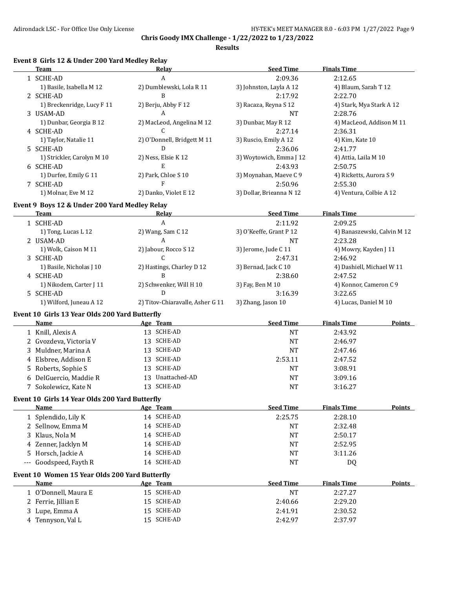**Results**

## **Event 8 Girls 12 & Under 200 Yard Medley Relay**

|                     | <b>Team</b>                                    | Relay                            | <b>Seed Time</b>         | <b>Finals Time</b>          |               |
|---------------------|------------------------------------------------|----------------------------------|--------------------------|-----------------------------|---------------|
|                     | 1 SCHE-AD                                      | A                                | 2:09.36                  | 2:12.65                     |               |
|                     | 1) Basile, Isabella M 12                       | 2) Dumblewski, Lola R 11         | 3) Johnston, Layla A 12  | 4) Blaum, Sarah T 12        |               |
|                     | 2 SCHE-AD                                      | B                                | 2:17.92                  | 2:22.70                     |               |
|                     | 1) Breckenridge, Lucy F 11                     | 2) Berju, Abby F 12              | 3) Racaza, Reyna S 12    | 4) Stark, Mya Stark A 12    |               |
|                     | 3 USAM-AD                                      | A                                | <b>NT</b>                | 2:28.76                     |               |
|                     | 1) Dunbar, Georgia B 12                        | 2) MacLeod, Angelina M 12        | 3) Dunbar, May R 12      | 4) MacLeod, Addison M 11    |               |
|                     | 4 SCHE-AD                                      | C                                | 2:27.14                  | 2:36.31                     |               |
|                     | 1) Taylor, Natalie 11                          | 2) O'Donnell, Bridgett M 11      | 3) Ruscio, Emily A 12    | 4) Kim, Kate 10             |               |
|                     | 5 SCHE-AD                                      | D                                | 2:36.06                  | 2:41.77                     |               |
|                     | 1) Strickler, Carolyn M 10                     | 2) Ness, Elsie K 12              | 3) Woytowich, Emma J 12  | 4) Attia, Laila M 10        |               |
|                     | 6 SCHE-AD                                      | E                                | 2:43.93                  | 2:50.75                     |               |
|                     | 1) Durfee, Emily G 11                          | 2) Park, Chloe S 10              | 3) Moynahan, Maeve C 9   | 4) Ricketts, Aurora S 9     |               |
|                     | 7 SCHE-AD                                      | F                                | 2:50.96                  | 2:55.30                     |               |
|                     | 1) Molnar, Eve M 12                            | 2) Danko, Violet E 12            | 3) Dollar, Brieanna N 12 | 4) Ventura, Colbie A 12     |               |
|                     |                                                |                                  |                          |                             |               |
|                     | Event 9 Boys 12 & Under 200 Yard Medley Relay  |                                  |                          |                             |               |
|                     | Team                                           | <u>Relav</u>                     | <b>Seed Time</b>         | <b>Finals Time</b>          |               |
|                     | 1 SCHE-AD                                      | A                                | 2:11.92                  | 2:09.25                     |               |
|                     | 1) Tong, Lucas L 12                            | 2) Wang, Sam C 12                | 3) O'Keeffe, Grant P 12  | 4) Banaszewski, Calvin M 12 |               |
|                     | 2 USAM-AD                                      | A                                | <b>NT</b>                | 2:23.28                     |               |
|                     | 1) Wolk, Caison M 11                           | 2) Jabour, Rocco S 12            | 3) Jerome, Jude C 11     | 4) Mowry, Kayden J 11       |               |
|                     | 3 SCHE-AD                                      | $\mathcal{C}$                    | 2:47.31                  | 2:46.92                     |               |
|                     | 1) Basile, Nicholas J 10                       | 2) Hastings, Charley D 12        | 3) Bernad, Jack C 10     | 4) Dashiell, Michael W 11   |               |
|                     | 4 SCHE-AD                                      | B                                | 2:38.60                  | 2:47.52                     |               |
|                     | 1) Nikodem, Carter J 11                        | 2) Schwenker, Will H 10          | 3) Fay, Ben M 10         | 4) Konnor, Cameron C 9      |               |
|                     | 5 SCHE-AD                                      | D                                | 3:16.39                  | 3:22.65                     |               |
|                     | 1) Wilford, Juneau A 12                        | 2) Titov-Chiaravalle, Asher G 11 | 3) Zhang, Jason 10       | 4) Lucas, Daniel M 10       |               |
|                     | Event 10 Girls 13 Year Olds 200 Yard Butterfly |                                  |                          |                             |               |
|                     | <b>Name</b>                                    | Age Team                         | <b>Seed Time</b>         | <b>Finals Time</b>          | Points        |
|                     | 1 Knill, Alexis A                              | 13 SCHE-AD                       | <b>NT</b>                | 2:43.92                     |               |
|                     | 2 Gvozdeva, Victoria V                         | 13 SCHE-AD                       | NT                       | 2:46.97                     |               |
|                     | 3 Muldner, Marina A                            | 13 SCHE-AD                       | NT                       | 2:47.46                     |               |
|                     | 4 Elsbree, Addison E                           | 13 SCHE-AD                       | 2:53.11                  | 2:47.52                     |               |
|                     | 5 Roberts, Sophie S                            | 13 SCHE-AD                       | <b>NT</b>                | 3:08.91                     |               |
|                     | 6 DelGuercio, Maddie R                         | 13 Unattached-AD                 | <b>NT</b>                | 3:09.16                     |               |
|                     | 7 Sokolewicz, Kate N                           | 13 SCHE-AD                       | <b>NT</b>                | 3:16.27                     |               |
|                     | Event 10 Girls 14 Year Olds 200 Yard Butterfly |                                  |                          |                             |               |
|                     | Name                                           | Age Team                         | <b>Seed Time</b>         | <b>Finals Time</b>          | <b>Points</b> |
|                     | 1 Splendido, Lily K                            | 14 SCHE-AD                       | 2:25.75                  | 2:28.10                     |               |
|                     |                                                |                                  |                          |                             |               |
|                     | 2 Sellnow, Emma M                              | 14 SCHE-AD                       | NT                       | 2:32.48                     |               |
|                     | 3 Klaus, Nola M                                | 14 SCHE-AD                       | NT                       | 2:50.17                     |               |
|                     | 4 Zenner, Jacklyn M                            | 14 SCHE-AD                       | NT                       | 2:52.95                     |               |
|                     | 5 Horsch, Jackie A                             | 14 SCHE-AD                       | <b>NT</b>                | 3:11.26                     |               |
| $\qquad \qquad - -$ | Goodspeed, Fayth R                             | 14 SCHE-AD                       | <b>NT</b>                | DQ                          |               |
|                     | Event 10 Women 15 Year Olds 200 Yard Butterfly |                                  |                          |                             |               |
|                     | <b>Name</b>                                    | Age Team                         | <b>Seed Time</b>         | <b>Finals Time</b>          | <b>Points</b> |
|                     | 1 O'Donnell, Maura E                           | 15 SCHE-AD                       | <b>NT</b>                | 2:27.27                     |               |
|                     | 2 Ferrie, Jillian E                            | 15 SCHE-AD                       | 2:40.66                  | 2:29.20                     |               |
|                     | 3 Lupe, Emma A                                 | 15 SCHE-AD                       | 2:41.91                  | 2:30.52                     |               |
|                     | 4 Tennyson, Val L                              | 15 SCHE-AD                       | 2:42.97                  | 2:37.97                     |               |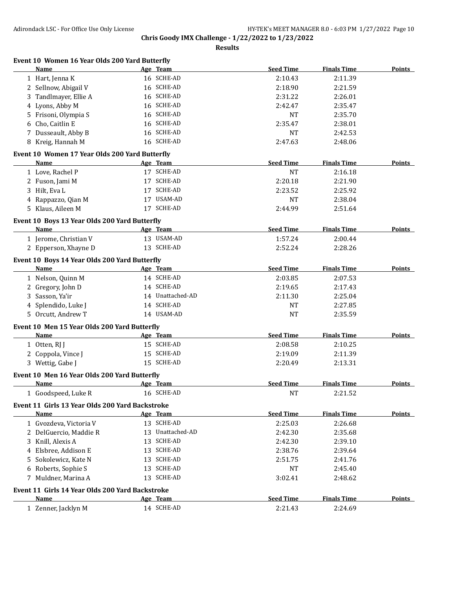| 16 SCHE-AD<br>1 Hart, Jenna K<br>2:10.43<br>2:11.39<br>16 SCHE-AD<br>2 Sellnow, Abigail V<br>2:18.90<br>2:21.59<br>16 SCHE-AD<br>Tandlmayer, Ellie A<br>2:31.22<br>2:26.01<br>3.<br>16 SCHE-AD<br>4 Lyons, Abby M<br>2:35.47<br>2:42.47<br>16 SCHE-AD<br>5 Frisoni, Olympia S<br><b>NT</b><br>2:35.70<br>16 SCHE-AD<br>Cho, Caitlin E<br>2:35.47<br>2:38.01<br>6<br>7 Dusseault, Abby B<br>16 SCHE-AD<br><b>NT</b><br>2:42.53<br>16 SCHE-AD<br>8 Kreig, Hannah M<br>2:47.63<br>2:48.06<br>Event 10 Women 17 Year Olds 200 Yard Butterfly<br><b>Seed Time</b><br><b>Finals Time</b><br>Name<br>Age Team<br><b>Points</b><br>17 SCHE-AD<br>1 Love, Rachel P<br><b>NT</b><br>2:16.18<br>17 SCHE-AD<br>2 Fuson, Jami M<br>2:20.18<br>2:21.90<br>17 SCHE-AD<br>3 Hilt, Eva L<br>2:23.52<br>2:25.92<br>17 USAM-AD<br>4 Rappazzo, Qian M<br><b>NT</b><br>2:38.04<br>17 SCHE-AD<br>5 Klaus, Aileen M<br>2:44.99<br>2:51.64<br>Event 10 Boys 13 Year Olds 200 Yard Butterfly<br><b>Seed Time</b><br><b>Finals Time</b><br>Points<br>Name<br>Age Team<br>13 USAM-AD<br>1:57.24<br>1 Jerome, Christian V<br>2:00.44<br>13 SCHE-AD<br>2 Epperson, Xhayne D<br>2:52.24<br>2:28.26<br>Event 10 Boys 14 Year Olds 200 Yard Butterfly<br><b>Seed Time</b><br><b>Finals Time</b><br>Name<br>Age Team<br>14 SCHE-AD<br>1 Nelson, Quinn M<br>2:03.85<br>2:07.53<br>2 Gregory, John D<br>14 SCHE-AD<br>2:19.65<br>2:17.43<br>3 Sasson, Ya'ir<br>14 Unattached-AD<br>2:11.30<br>2:25.04<br>14 SCHE-AD<br>4 Splendido, Luke J<br><b>NT</b><br>2:27.85<br>5 Orcutt, Andrew T<br>14 USAM-AD<br><b>NT</b><br>2:35.59<br>Event 10 Men 15 Year Olds 200 Yard Butterfly<br>Age Team<br><b>Seed Time</b><br><b>Finals Time</b><br>Name<br>15 SCHE-AD<br>1 Otten, RJ J<br>2:08.58<br>2:10.25<br>15 SCHE-AD<br>2 Coppola, Vince J<br>2:19.09<br>2:11.39<br>15 SCHE-AD<br>3 Wettig, Gabe J<br>2:20.49<br>2:13.31<br>Event 10 Men 16 Year Olds 200 Yard Butterfly<br><b>Seed Time</b><br><b>Finals Time</b><br>Name<br>Age Team<br><b>Points</b><br>16 SCHE-AD<br>1 Goodspeed, Luke R<br><b>NT</b><br>2:21.52<br>Event 11 Girls 13 Year Olds 200 Yard Backstroke<br><b>Seed Time</b><br>Name<br>Age Team<br><b>Finals Time</b><br><b>Points</b><br>13 SCHE-AD<br>2:25.03<br>2:26.68<br>1 Gvozdeva, Victoria V<br>13 Unattached-AD<br>2 DelGuercio, Maddie R<br>2:35.68<br>2:42.30<br>13 SCHE-AD<br>3 Knill, Alexis A<br>2:39.10<br>2:42.30<br>13 SCHE-AD<br>4 Elsbree, Addison E<br>2:38.76<br>2:39.64<br>13 SCHE-AD<br>Sokolewicz, Kate N<br>2:51.75<br>2:41.76<br>5.<br>13 SCHE-AD<br>6 Roberts, Sophie S<br><b>NT</b><br>2:45.40<br>13 SCHE-AD<br>Muldner, Marina A<br>3:02.41<br>2:48.62<br>7<br>Event 11 Girls 14 Year Olds 200 Yard Backstroke<br><b>Seed Time</b><br><b>Finals Time</b><br>Name<br>Age Team<br>14 SCHE-AD<br>2:21.43<br>2:24.69<br>1 Zenner, Jacklyn M | Name | Age Team | <b>Seed Time</b> | <b>Finals Time</b> | <b>Points</b> |
|----------------------------------------------------------------------------------------------------------------------------------------------------------------------------------------------------------------------------------------------------------------------------------------------------------------------------------------------------------------------------------------------------------------------------------------------------------------------------------------------------------------------------------------------------------------------------------------------------------------------------------------------------------------------------------------------------------------------------------------------------------------------------------------------------------------------------------------------------------------------------------------------------------------------------------------------------------------------------------------------------------------------------------------------------------------------------------------------------------------------------------------------------------------------------------------------------------------------------------------------------------------------------------------------------------------------------------------------------------------------------------------------------------------------------------------------------------------------------------------------------------------------------------------------------------------------------------------------------------------------------------------------------------------------------------------------------------------------------------------------------------------------------------------------------------------------------------------------------------------------------------------------------------------------------------------------------------------------------------------------------------------------------------------------------------------------------------------------------------------------------------------------------------------------------------------------------------------------------------------------------------------------------------------------------------------------------------------------------------------------------------------------------------------------------------------------------------------------------------------------------------------------------------------------------------------------------------------------------------------------------------------------------------------------------------------------------------------------------------------------------------------------------------------------------------------------------------------------|------|----------|------------------|--------------------|---------------|
|                                                                                                                                                                                                                                                                                                                                                                                                                                                                                                                                                                                                                                                                                                                                                                                                                                                                                                                                                                                                                                                                                                                                                                                                                                                                                                                                                                                                                                                                                                                                                                                                                                                                                                                                                                                                                                                                                                                                                                                                                                                                                                                                                                                                                                                                                                                                                                                                                                                                                                                                                                                                                                                                                                                                                                                                                                              |      |          |                  |                    |               |
|                                                                                                                                                                                                                                                                                                                                                                                                                                                                                                                                                                                                                                                                                                                                                                                                                                                                                                                                                                                                                                                                                                                                                                                                                                                                                                                                                                                                                                                                                                                                                                                                                                                                                                                                                                                                                                                                                                                                                                                                                                                                                                                                                                                                                                                                                                                                                                                                                                                                                                                                                                                                                                                                                                                                                                                                                                              |      |          |                  |                    |               |
|                                                                                                                                                                                                                                                                                                                                                                                                                                                                                                                                                                                                                                                                                                                                                                                                                                                                                                                                                                                                                                                                                                                                                                                                                                                                                                                                                                                                                                                                                                                                                                                                                                                                                                                                                                                                                                                                                                                                                                                                                                                                                                                                                                                                                                                                                                                                                                                                                                                                                                                                                                                                                                                                                                                                                                                                                                              |      |          |                  |                    |               |
|                                                                                                                                                                                                                                                                                                                                                                                                                                                                                                                                                                                                                                                                                                                                                                                                                                                                                                                                                                                                                                                                                                                                                                                                                                                                                                                                                                                                                                                                                                                                                                                                                                                                                                                                                                                                                                                                                                                                                                                                                                                                                                                                                                                                                                                                                                                                                                                                                                                                                                                                                                                                                                                                                                                                                                                                                                              |      |          |                  |                    |               |
|                                                                                                                                                                                                                                                                                                                                                                                                                                                                                                                                                                                                                                                                                                                                                                                                                                                                                                                                                                                                                                                                                                                                                                                                                                                                                                                                                                                                                                                                                                                                                                                                                                                                                                                                                                                                                                                                                                                                                                                                                                                                                                                                                                                                                                                                                                                                                                                                                                                                                                                                                                                                                                                                                                                                                                                                                                              |      |          |                  |                    |               |
|                                                                                                                                                                                                                                                                                                                                                                                                                                                                                                                                                                                                                                                                                                                                                                                                                                                                                                                                                                                                                                                                                                                                                                                                                                                                                                                                                                                                                                                                                                                                                                                                                                                                                                                                                                                                                                                                                                                                                                                                                                                                                                                                                                                                                                                                                                                                                                                                                                                                                                                                                                                                                                                                                                                                                                                                                                              |      |          |                  |                    |               |
|                                                                                                                                                                                                                                                                                                                                                                                                                                                                                                                                                                                                                                                                                                                                                                                                                                                                                                                                                                                                                                                                                                                                                                                                                                                                                                                                                                                                                                                                                                                                                                                                                                                                                                                                                                                                                                                                                                                                                                                                                                                                                                                                                                                                                                                                                                                                                                                                                                                                                                                                                                                                                                                                                                                                                                                                                                              |      |          |                  |                    |               |
|                                                                                                                                                                                                                                                                                                                                                                                                                                                                                                                                                                                                                                                                                                                                                                                                                                                                                                                                                                                                                                                                                                                                                                                                                                                                                                                                                                                                                                                                                                                                                                                                                                                                                                                                                                                                                                                                                                                                                                                                                                                                                                                                                                                                                                                                                                                                                                                                                                                                                                                                                                                                                                                                                                                                                                                                                                              |      |          |                  |                    |               |
|                                                                                                                                                                                                                                                                                                                                                                                                                                                                                                                                                                                                                                                                                                                                                                                                                                                                                                                                                                                                                                                                                                                                                                                                                                                                                                                                                                                                                                                                                                                                                                                                                                                                                                                                                                                                                                                                                                                                                                                                                                                                                                                                                                                                                                                                                                                                                                                                                                                                                                                                                                                                                                                                                                                                                                                                                                              |      |          |                  |                    |               |
|                                                                                                                                                                                                                                                                                                                                                                                                                                                                                                                                                                                                                                                                                                                                                                                                                                                                                                                                                                                                                                                                                                                                                                                                                                                                                                                                                                                                                                                                                                                                                                                                                                                                                                                                                                                                                                                                                                                                                                                                                                                                                                                                                                                                                                                                                                                                                                                                                                                                                                                                                                                                                                                                                                                                                                                                                                              |      |          |                  |                    |               |
|                                                                                                                                                                                                                                                                                                                                                                                                                                                                                                                                                                                                                                                                                                                                                                                                                                                                                                                                                                                                                                                                                                                                                                                                                                                                                                                                                                                                                                                                                                                                                                                                                                                                                                                                                                                                                                                                                                                                                                                                                                                                                                                                                                                                                                                                                                                                                                                                                                                                                                                                                                                                                                                                                                                                                                                                                                              |      |          |                  |                    |               |
|                                                                                                                                                                                                                                                                                                                                                                                                                                                                                                                                                                                                                                                                                                                                                                                                                                                                                                                                                                                                                                                                                                                                                                                                                                                                                                                                                                                                                                                                                                                                                                                                                                                                                                                                                                                                                                                                                                                                                                                                                                                                                                                                                                                                                                                                                                                                                                                                                                                                                                                                                                                                                                                                                                                                                                                                                                              |      |          |                  |                    |               |
|                                                                                                                                                                                                                                                                                                                                                                                                                                                                                                                                                                                                                                                                                                                                                                                                                                                                                                                                                                                                                                                                                                                                                                                                                                                                                                                                                                                                                                                                                                                                                                                                                                                                                                                                                                                                                                                                                                                                                                                                                                                                                                                                                                                                                                                                                                                                                                                                                                                                                                                                                                                                                                                                                                                                                                                                                                              |      |          |                  |                    |               |
|                                                                                                                                                                                                                                                                                                                                                                                                                                                                                                                                                                                                                                                                                                                                                                                                                                                                                                                                                                                                                                                                                                                                                                                                                                                                                                                                                                                                                                                                                                                                                                                                                                                                                                                                                                                                                                                                                                                                                                                                                                                                                                                                                                                                                                                                                                                                                                                                                                                                                                                                                                                                                                                                                                                                                                                                                                              |      |          |                  |                    |               |
|                                                                                                                                                                                                                                                                                                                                                                                                                                                                                                                                                                                                                                                                                                                                                                                                                                                                                                                                                                                                                                                                                                                                                                                                                                                                                                                                                                                                                                                                                                                                                                                                                                                                                                                                                                                                                                                                                                                                                                                                                                                                                                                                                                                                                                                                                                                                                                                                                                                                                                                                                                                                                                                                                                                                                                                                                                              |      |          |                  |                    |               |
|                                                                                                                                                                                                                                                                                                                                                                                                                                                                                                                                                                                                                                                                                                                                                                                                                                                                                                                                                                                                                                                                                                                                                                                                                                                                                                                                                                                                                                                                                                                                                                                                                                                                                                                                                                                                                                                                                                                                                                                                                                                                                                                                                                                                                                                                                                                                                                                                                                                                                                                                                                                                                                                                                                                                                                                                                                              |      |          |                  |                    |               |
|                                                                                                                                                                                                                                                                                                                                                                                                                                                                                                                                                                                                                                                                                                                                                                                                                                                                                                                                                                                                                                                                                                                                                                                                                                                                                                                                                                                                                                                                                                                                                                                                                                                                                                                                                                                                                                                                                                                                                                                                                                                                                                                                                                                                                                                                                                                                                                                                                                                                                                                                                                                                                                                                                                                                                                                                                                              |      |          |                  |                    |               |
|                                                                                                                                                                                                                                                                                                                                                                                                                                                                                                                                                                                                                                                                                                                                                                                                                                                                                                                                                                                                                                                                                                                                                                                                                                                                                                                                                                                                                                                                                                                                                                                                                                                                                                                                                                                                                                                                                                                                                                                                                                                                                                                                                                                                                                                                                                                                                                                                                                                                                                                                                                                                                                                                                                                                                                                                                                              |      |          |                  |                    |               |
|                                                                                                                                                                                                                                                                                                                                                                                                                                                                                                                                                                                                                                                                                                                                                                                                                                                                                                                                                                                                                                                                                                                                                                                                                                                                                                                                                                                                                                                                                                                                                                                                                                                                                                                                                                                                                                                                                                                                                                                                                                                                                                                                                                                                                                                                                                                                                                                                                                                                                                                                                                                                                                                                                                                                                                                                                                              |      |          |                  |                    |               |
|                                                                                                                                                                                                                                                                                                                                                                                                                                                                                                                                                                                                                                                                                                                                                                                                                                                                                                                                                                                                                                                                                                                                                                                                                                                                                                                                                                                                                                                                                                                                                                                                                                                                                                                                                                                                                                                                                                                                                                                                                                                                                                                                                                                                                                                                                                                                                                                                                                                                                                                                                                                                                                                                                                                                                                                                                                              |      |          |                  |                    |               |
|                                                                                                                                                                                                                                                                                                                                                                                                                                                                                                                                                                                                                                                                                                                                                                                                                                                                                                                                                                                                                                                                                                                                                                                                                                                                                                                                                                                                                                                                                                                                                                                                                                                                                                                                                                                                                                                                                                                                                                                                                                                                                                                                                                                                                                                                                                                                                                                                                                                                                                                                                                                                                                                                                                                                                                                                                                              |      |          |                  |                    |               |
|                                                                                                                                                                                                                                                                                                                                                                                                                                                                                                                                                                                                                                                                                                                                                                                                                                                                                                                                                                                                                                                                                                                                                                                                                                                                                                                                                                                                                                                                                                                                                                                                                                                                                                                                                                                                                                                                                                                                                                                                                                                                                                                                                                                                                                                                                                                                                                                                                                                                                                                                                                                                                                                                                                                                                                                                                                              |      |          |                  |                    | <b>Points</b> |
|                                                                                                                                                                                                                                                                                                                                                                                                                                                                                                                                                                                                                                                                                                                                                                                                                                                                                                                                                                                                                                                                                                                                                                                                                                                                                                                                                                                                                                                                                                                                                                                                                                                                                                                                                                                                                                                                                                                                                                                                                                                                                                                                                                                                                                                                                                                                                                                                                                                                                                                                                                                                                                                                                                                                                                                                                                              |      |          |                  |                    |               |
|                                                                                                                                                                                                                                                                                                                                                                                                                                                                                                                                                                                                                                                                                                                                                                                                                                                                                                                                                                                                                                                                                                                                                                                                                                                                                                                                                                                                                                                                                                                                                                                                                                                                                                                                                                                                                                                                                                                                                                                                                                                                                                                                                                                                                                                                                                                                                                                                                                                                                                                                                                                                                                                                                                                                                                                                                                              |      |          |                  |                    |               |
|                                                                                                                                                                                                                                                                                                                                                                                                                                                                                                                                                                                                                                                                                                                                                                                                                                                                                                                                                                                                                                                                                                                                                                                                                                                                                                                                                                                                                                                                                                                                                                                                                                                                                                                                                                                                                                                                                                                                                                                                                                                                                                                                                                                                                                                                                                                                                                                                                                                                                                                                                                                                                                                                                                                                                                                                                                              |      |          |                  |                    |               |
|                                                                                                                                                                                                                                                                                                                                                                                                                                                                                                                                                                                                                                                                                                                                                                                                                                                                                                                                                                                                                                                                                                                                                                                                                                                                                                                                                                                                                                                                                                                                                                                                                                                                                                                                                                                                                                                                                                                                                                                                                                                                                                                                                                                                                                                                                                                                                                                                                                                                                                                                                                                                                                                                                                                                                                                                                                              |      |          |                  |                    |               |
|                                                                                                                                                                                                                                                                                                                                                                                                                                                                                                                                                                                                                                                                                                                                                                                                                                                                                                                                                                                                                                                                                                                                                                                                                                                                                                                                                                                                                                                                                                                                                                                                                                                                                                                                                                                                                                                                                                                                                                                                                                                                                                                                                                                                                                                                                                                                                                                                                                                                                                                                                                                                                                                                                                                                                                                                                                              |      |          |                  |                    |               |
|                                                                                                                                                                                                                                                                                                                                                                                                                                                                                                                                                                                                                                                                                                                                                                                                                                                                                                                                                                                                                                                                                                                                                                                                                                                                                                                                                                                                                                                                                                                                                                                                                                                                                                                                                                                                                                                                                                                                                                                                                                                                                                                                                                                                                                                                                                                                                                                                                                                                                                                                                                                                                                                                                                                                                                                                                                              |      |          |                  |                    |               |
|                                                                                                                                                                                                                                                                                                                                                                                                                                                                                                                                                                                                                                                                                                                                                                                                                                                                                                                                                                                                                                                                                                                                                                                                                                                                                                                                                                                                                                                                                                                                                                                                                                                                                                                                                                                                                                                                                                                                                                                                                                                                                                                                                                                                                                                                                                                                                                                                                                                                                                                                                                                                                                                                                                                                                                                                                                              |      |          |                  |                    | Points        |
|                                                                                                                                                                                                                                                                                                                                                                                                                                                                                                                                                                                                                                                                                                                                                                                                                                                                                                                                                                                                                                                                                                                                                                                                                                                                                                                                                                                                                                                                                                                                                                                                                                                                                                                                                                                                                                                                                                                                                                                                                                                                                                                                                                                                                                                                                                                                                                                                                                                                                                                                                                                                                                                                                                                                                                                                                                              |      |          |                  |                    |               |
|                                                                                                                                                                                                                                                                                                                                                                                                                                                                                                                                                                                                                                                                                                                                                                                                                                                                                                                                                                                                                                                                                                                                                                                                                                                                                                                                                                                                                                                                                                                                                                                                                                                                                                                                                                                                                                                                                                                                                                                                                                                                                                                                                                                                                                                                                                                                                                                                                                                                                                                                                                                                                                                                                                                                                                                                                                              |      |          |                  |                    |               |
|                                                                                                                                                                                                                                                                                                                                                                                                                                                                                                                                                                                                                                                                                                                                                                                                                                                                                                                                                                                                                                                                                                                                                                                                                                                                                                                                                                                                                                                                                                                                                                                                                                                                                                                                                                                                                                                                                                                                                                                                                                                                                                                                                                                                                                                                                                                                                                                                                                                                                                                                                                                                                                                                                                                                                                                                                                              |      |          |                  |                    |               |
|                                                                                                                                                                                                                                                                                                                                                                                                                                                                                                                                                                                                                                                                                                                                                                                                                                                                                                                                                                                                                                                                                                                                                                                                                                                                                                                                                                                                                                                                                                                                                                                                                                                                                                                                                                                                                                                                                                                                                                                                                                                                                                                                                                                                                                                                                                                                                                                                                                                                                                                                                                                                                                                                                                                                                                                                                                              |      |          |                  |                    |               |
|                                                                                                                                                                                                                                                                                                                                                                                                                                                                                                                                                                                                                                                                                                                                                                                                                                                                                                                                                                                                                                                                                                                                                                                                                                                                                                                                                                                                                                                                                                                                                                                                                                                                                                                                                                                                                                                                                                                                                                                                                                                                                                                                                                                                                                                                                                                                                                                                                                                                                                                                                                                                                                                                                                                                                                                                                                              |      |          |                  |                    |               |
|                                                                                                                                                                                                                                                                                                                                                                                                                                                                                                                                                                                                                                                                                                                                                                                                                                                                                                                                                                                                                                                                                                                                                                                                                                                                                                                                                                                                                                                                                                                                                                                                                                                                                                                                                                                                                                                                                                                                                                                                                                                                                                                                                                                                                                                                                                                                                                                                                                                                                                                                                                                                                                                                                                                                                                                                                                              |      |          |                  |                    |               |
|                                                                                                                                                                                                                                                                                                                                                                                                                                                                                                                                                                                                                                                                                                                                                                                                                                                                                                                                                                                                                                                                                                                                                                                                                                                                                                                                                                                                                                                                                                                                                                                                                                                                                                                                                                                                                                                                                                                                                                                                                                                                                                                                                                                                                                                                                                                                                                                                                                                                                                                                                                                                                                                                                                                                                                                                                                              |      |          |                  |                    |               |
|                                                                                                                                                                                                                                                                                                                                                                                                                                                                                                                                                                                                                                                                                                                                                                                                                                                                                                                                                                                                                                                                                                                                                                                                                                                                                                                                                                                                                                                                                                                                                                                                                                                                                                                                                                                                                                                                                                                                                                                                                                                                                                                                                                                                                                                                                                                                                                                                                                                                                                                                                                                                                                                                                                                                                                                                                                              |      |          |                  |                    |               |
|                                                                                                                                                                                                                                                                                                                                                                                                                                                                                                                                                                                                                                                                                                                                                                                                                                                                                                                                                                                                                                                                                                                                                                                                                                                                                                                                                                                                                                                                                                                                                                                                                                                                                                                                                                                                                                                                                                                                                                                                                                                                                                                                                                                                                                                                                                                                                                                                                                                                                                                                                                                                                                                                                                                                                                                                                                              |      |          |                  |                    |               |
|                                                                                                                                                                                                                                                                                                                                                                                                                                                                                                                                                                                                                                                                                                                                                                                                                                                                                                                                                                                                                                                                                                                                                                                                                                                                                                                                                                                                                                                                                                                                                                                                                                                                                                                                                                                                                                                                                                                                                                                                                                                                                                                                                                                                                                                                                                                                                                                                                                                                                                                                                                                                                                                                                                                                                                                                                                              |      |          |                  |                    |               |
|                                                                                                                                                                                                                                                                                                                                                                                                                                                                                                                                                                                                                                                                                                                                                                                                                                                                                                                                                                                                                                                                                                                                                                                                                                                                                                                                                                                                                                                                                                                                                                                                                                                                                                                                                                                                                                                                                                                                                                                                                                                                                                                                                                                                                                                                                                                                                                                                                                                                                                                                                                                                                                                                                                                                                                                                                                              |      |          |                  |                    |               |
|                                                                                                                                                                                                                                                                                                                                                                                                                                                                                                                                                                                                                                                                                                                                                                                                                                                                                                                                                                                                                                                                                                                                                                                                                                                                                                                                                                                                                                                                                                                                                                                                                                                                                                                                                                                                                                                                                                                                                                                                                                                                                                                                                                                                                                                                                                                                                                                                                                                                                                                                                                                                                                                                                                                                                                                                                                              |      |          |                  |                    |               |
|                                                                                                                                                                                                                                                                                                                                                                                                                                                                                                                                                                                                                                                                                                                                                                                                                                                                                                                                                                                                                                                                                                                                                                                                                                                                                                                                                                                                                                                                                                                                                                                                                                                                                                                                                                                                                                                                                                                                                                                                                                                                                                                                                                                                                                                                                                                                                                                                                                                                                                                                                                                                                                                                                                                                                                                                                                              |      |          |                  |                    |               |
|                                                                                                                                                                                                                                                                                                                                                                                                                                                                                                                                                                                                                                                                                                                                                                                                                                                                                                                                                                                                                                                                                                                                                                                                                                                                                                                                                                                                                                                                                                                                                                                                                                                                                                                                                                                                                                                                                                                                                                                                                                                                                                                                                                                                                                                                                                                                                                                                                                                                                                                                                                                                                                                                                                                                                                                                                                              |      |          |                  |                    |               |
|                                                                                                                                                                                                                                                                                                                                                                                                                                                                                                                                                                                                                                                                                                                                                                                                                                                                                                                                                                                                                                                                                                                                                                                                                                                                                                                                                                                                                                                                                                                                                                                                                                                                                                                                                                                                                                                                                                                                                                                                                                                                                                                                                                                                                                                                                                                                                                                                                                                                                                                                                                                                                                                                                                                                                                                                                                              |      |          |                  |                    |               |
|                                                                                                                                                                                                                                                                                                                                                                                                                                                                                                                                                                                                                                                                                                                                                                                                                                                                                                                                                                                                                                                                                                                                                                                                                                                                                                                                                                                                                                                                                                                                                                                                                                                                                                                                                                                                                                                                                                                                                                                                                                                                                                                                                                                                                                                                                                                                                                                                                                                                                                                                                                                                                                                                                                                                                                                                                                              |      |          |                  |                    |               |
|                                                                                                                                                                                                                                                                                                                                                                                                                                                                                                                                                                                                                                                                                                                                                                                                                                                                                                                                                                                                                                                                                                                                                                                                                                                                                                                                                                                                                                                                                                                                                                                                                                                                                                                                                                                                                                                                                                                                                                                                                                                                                                                                                                                                                                                                                                                                                                                                                                                                                                                                                                                                                                                                                                                                                                                                                                              |      |          |                  |                    |               |
|                                                                                                                                                                                                                                                                                                                                                                                                                                                                                                                                                                                                                                                                                                                                                                                                                                                                                                                                                                                                                                                                                                                                                                                                                                                                                                                                                                                                                                                                                                                                                                                                                                                                                                                                                                                                                                                                                                                                                                                                                                                                                                                                                                                                                                                                                                                                                                                                                                                                                                                                                                                                                                                                                                                                                                                                                                              |      |          |                  |                    | <b>Points</b> |
|                                                                                                                                                                                                                                                                                                                                                                                                                                                                                                                                                                                                                                                                                                                                                                                                                                                                                                                                                                                                                                                                                                                                                                                                                                                                                                                                                                                                                                                                                                                                                                                                                                                                                                                                                                                                                                                                                                                                                                                                                                                                                                                                                                                                                                                                                                                                                                                                                                                                                                                                                                                                                                                                                                                                                                                                                                              |      |          |                  |                    |               |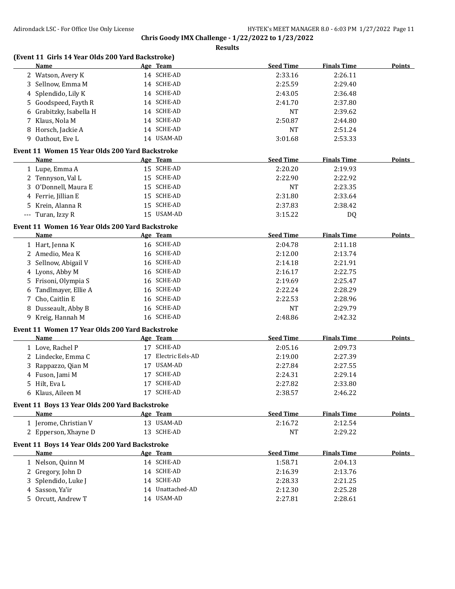|          | (Event 11 Girls 14 Year Olds 200 Yard Backstroke)<br><b>Name</b> |    | Age Team         | <b>Seed Time</b> | <b>Finals Time</b> | <b>Points</b> |
|----------|------------------------------------------------------------------|----|------------------|------------------|--------------------|---------------|
|          | 2 Watson, Avery K                                                |    | 14 SCHE-AD       | 2:33.16          | 2:26.11            |               |
|          | 3 Sellnow, Emma M                                                |    | 14 SCHE-AD       | 2:25.59          | 2:29.40            |               |
|          | 4 Splendido, Lily K                                              |    | 14 SCHE-AD       | 2:43.05          | 2:36.48            |               |
|          | 5 Goodspeed, Fayth R                                             |    | 14 SCHE-AD       | 2:41.70          | 2:37.80            |               |
|          | 6 Grabitzky, Isabella H                                          |    | 14 SCHE-AD       | <b>NT</b>        | 2:39.62            |               |
|          | 7 Klaus, Nola M                                                  |    | 14 SCHE-AD       | 2:50.87          | 2:44.80            |               |
|          | 8 Horsch, Jackie A                                               |    | 14 SCHE-AD       | <b>NT</b>        | 2:51.24            |               |
|          | 9 Oathout, Eve L                                                 |    | 14 USAM-AD       | 3:01.68          | 2:53.33            |               |
|          | Event 11 Women 15 Year Olds 200 Yard Backstroke                  |    |                  |                  |                    |               |
|          | Name                                                             |    | Age Team         | <b>Seed Time</b> | <b>Finals Time</b> | Points        |
|          | 1 Lupe, Emma A                                                   |    | 15 SCHE-AD       | 2:20.20          | 2:19.93            |               |
|          | 2 Tennyson, Val L                                                |    | 15 SCHE-AD       | 2:22.90          | 2:22.92            |               |
| 3        | O'Donnell, Maura E                                               |    | 15 SCHE-AD       | <b>NT</b>        | 2:23.35            |               |
|          | 4 Ferrie, Jillian E                                              |    | 15 SCHE-AD       | 2:31.80          | 2:33.64            |               |
|          | 5 Krein, Alanna R                                                |    | 15 SCHE-AD       | 2:37.83          | 2:38.42            |               |
| $\cdots$ | Turan, Izzy R                                                    |    | 15 USAM-AD       | 3:15.22          | DQ                 |               |
|          | Event 11 Women 16 Year Olds 200 Yard Backstroke                  |    |                  |                  |                    |               |
|          | Name                                                             |    | Age Team         | <b>Seed Time</b> | <b>Finals Time</b> | Points        |
|          | 1 Hart, Jenna K                                                  |    | 16 SCHE-AD       | 2:04.78          | 2:11.18            |               |
|          | 2 Amedio, Mea K                                                  |    | 16 SCHE-AD       | 2:12.00          | 2:13.74            |               |
| 3        | Sellnow, Abigail V                                               |    | 16 SCHE-AD       | 2:14.18          | 2:21.91            |               |
|          | 4 Lyons, Abby M                                                  |    | 16 SCHE-AD       | 2:16.17          | 2:22.75            |               |
|          | 5 Frisoni, Olympia S                                             |    | 16 SCHE-AD       | 2:19.69          | 2:25.47            |               |
|          | 6 Tandlmayer, Ellie A                                            |    | 16 SCHE-AD       | 2:22.24          | 2:28.29            |               |
| 7        | Cho, Caitlin E                                                   |    | 16 SCHE-AD       | 2:22.53          | 2:28.96            |               |
|          | 8 Dusseault, Abby B                                              |    | 16 SCHE-AD       | <b>NT</b>        | 2:29.79            |               |
|          | 9 Kreig, Hannah M                                                |    | 16 SCHE-AD       | 2:48.86          | 2:42.32            |               |
|          | Event 11 Women 17 Year Olds 200 Yard Backstroke                  |    |                  |                  |                    |               |
|          | <b>Name</b>                                                      |    | Age Team         | <b>Seed Time</b> | <b>Finals Time</b> | <b>Points</b> |
|          | 1 Love, Rachel P                                                 |    | 17 SCHE-AD       | 2:05.16          | 2:09.73            |               |
|          | 2 Lindecke, Emma C                                               | 17 | Electric Eels-AD | 2:19.00          | 2:27.39            |               |
|          | 3 Rappazzo, Qian M                                               |    | 17 USAM-AD       | 2:27.84          | 2:27.55            |               |
|          | 4 Fuson, Jami M                                                  | 17 | SCHE-AD          | 2:24.31          | 2:29.14            |               |
|          | 5 Hilt, Eva L                                                    |    | 17 SCHE-AD       | 2:27.82          | 2:33.80            |               |
|          | 6 Klaus, Aileen M                                                |    | 17 SCHE-AD       | 2:38.57          | 2:46.22            |               |
|          | Event 11 Boys 13 Year Olds 200 Yard Backstroke                   |    |                  |                  |                    |               |
|          | Name                                                             |    | Age Team         | <b>Seed Time</b> | <b>Finals Time</b> | <b>Points</b> |
|          | 1 Jerome, Christian V                                            |    | 13 USAM-AD       | 2:16.72          | 2:12.54            |               |
|          | 2 Epperson, Xhayne D                                             |    | 13 SCHE-AD       | <b>NT</b>        | 2:29.22            |               |
|          | Event 11 Boys 14 Year Olds 200 Yard Backstroke                   |    |                  |                  |                    |               |
|          | <b>Name</b>                                                      |    | Age Team         | <b>Seed Time</b> | <b>Finals Time</b> | <b>Points</b> |
|          | 1 Nelson, Quinn M                                                |    | 14 SCHE-AD       | 1:58.71          | 2:04.13            |               |
|          | 2 Gregory, John D                                                |    | 14 SCHE-AD       | 2:16.39          | 2:13.76            |               |
|          | 3 Splendido, Luke J                                              |    | 14 SCHE-AD       | 2:28.33          | 2:21.25            |               |
|          | 4 Sasson, Ya'ir                                                  |    | 14 Unattached-AD | 2:12.30          | 2:25.28            |               |
|          | 5 Orcutt, Andrew T                                               |    | 14 USAM-AD       | 2:27.81          | 2:28.61            |               |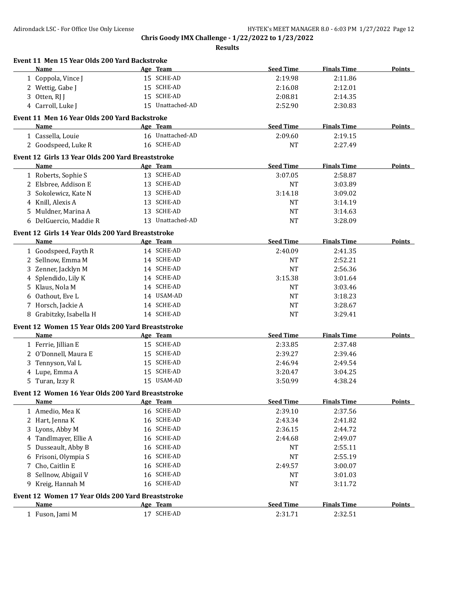|   | Event 11 Men 15 Year Olds 200 Yard Backstroke<br>Name     | Age Team               | <b>Seed Time</b> | <b>Finals Time</b> | <b>Points</b> |
|---|-----------------------------------------------------------|------------------------|------------------|--------------------|---------------|
|   | 1 Coppola, Vince J                                        | 15 SCHE-AD             | 2:19.98          | 2:11.86            |               |
|   | 2 Wettig, Gabe J                                          | 15 SCHE-AD             | 2:16.08          | 2:12.01            |               |
|   | 3 Otten, RJ J                                             | 15 SCHE-AD             | 2:08.81          | 2:14.35            |               |
|   | 4 Carroll, Luke J                                         | 15 Unattached-AD       | 2:52.90          | 2:30.83            |               |
|   | Event 11 Men 16 Year Olds 200 Yard Backstroke             |                        |                  |                    |               |
|   | <b>Name</b>                                               | Age Team               | <b>Seed Time</b> | <b>Finals Time</b> | <b>Points</b> |
|   | 1 Cassella, Louie                                         | 16 Unattached-AD       | 2:09.60          | 2:19.15            |               |
|   | 2 Goodspeed, Luke R                                       | 16 SCHE-AD             | <b>NT</b>        | 2:27.49            |               |
|   |                                                           |                        |                  |                    |               |
|   | Event 12 Girls 13 Year Olds 200 Yard Breaststroke         |                        |                  |                    |               |
|   | Name                                                      | Age Team               | <b>Seed Time</b> | <b>Finals Time</b> | <b>Points</b> |
|   | 1 Roberts, Sophie S                                       | 13 SCHE-AD             | 3:07.05          | 2:58.87            |               |
|   | 2 Elsbree, Addison E                                      | 13 SCHE-AD             | <b>NT</b>        | 3:03.89            |               |
|   | 3 Sokolewicz, Kate N                                      | 13 SCHE-AD             | 3:14.18          | 3:09.02            |               |
|   | 4 Knill, Alexis A                                         | 13 SCHE-AD             | <b>NT</b>        | 3:14.19            |               |
|   | 5 Muldner, Marina A                                       | 13 SCHE-AD             | <b>NT</b>        | 3:14.63            |               |
|   | 6 DelGuercio, Maddie R                                    | 13 Unattached-AD       | <b>NT</b>        | 3:28.09            |               |
|   | Event 12 Girls 14 Year Olds 200 Yard Breaststroke         |                        |                  |                    |               |
|   | Name                                                      | Age Team               | <b>Seed Time</b> | <b>Finals Time</b> | <b>Points</b> |
|   | 1 Goodspeed, Fayth R                                      | 14 SCHE-AD             | 2:40.09          | 2:41.35            |               |
|   | 2 Sellnow, Emma M                                         | 14 SCHE-AD             | NT               | 2:52.21            |               |
|   | 3 Zenner, Jacklyn M                                       | 14 SCHE-AD             | <b>NT</b>        | 2:56.36            |               |
|   | 4 Splendido, Lily K                                       | 14 SCHE-AD             | 3:15.38          | 3:01.64            |               |
|   | 5 Klaus, Nola M                                           | 14 SCHE-AD             | <b>NT</b>        | 3:03.46            |               |
|   | 6 Oathout, Eve L                                          | 14 USAM-AD             | <b>NT</b>        | 3:18.23            |               |
|   | 7 Horsch, Jackie A                                        | 14 SCHE-AD             | <b>NT</b>        | 3:28.67            |               |
|   | 8 Grabitzky, Isabella H                                   | 14 SCHE-AD             | <b>NT</b>        | 3:29.41            |               |
|   | Event 12 Women 15 Year Olds 200 Yard Breaststroke         |                        |                  |                    |               |
|   | <b>Name</b>                                               | Age Team               | <b>Seed Time</b> | <b>Finals Time</b> | Points        |
|   | 1 Ferrie, Jillian E                                       | 15 SCHE-AD             | 2:33.85          | 2:37.48            |               |
|   | 2 O'Donnell, Maura E                                      | 15 SCHE-AD             | 2:39.27          | 2:39.46            |               |
| 3 | Tennyson, Val L                                           | 15 SCHE-AD             | 2:46.94          | 2:49.54            |               |
|   | 4 Lupe, Emma A                                            | 15 SCHE-AD             | 3:20.47          | 3:04.25            |               |
|   | 5 Turan, Izzy R                                           | 15 USAM-AD             | 3:50.99          | 4:38.24            |               |
|   |                                                           |                        |                  |                    |               |
|   | Event 12 Women 16 Year Olds 200 Yard Breaststroke<br>Name |                        | <b>Seed Time</b> | <b>Finals Time</b> | <b>Points</b> |
|   |                                                           | Age Team<br>16 SCHE-AD |                  |                    |               |
|   | 1 Amedio, Mea K                                           | 16 SCHE-AD             | 2:39.10          | 2:37.56            |               |
|   | 2 Hart, Jenna K                                           | 16 SCHE-AD             | 2:43.34          | 2:41.82            |               |
| 3 | Lyons, Abby M                                             | 16 SCHE-AD             | 2:36.15          | 2:44.72            |               |
| 4 | Tandlmayer, Ellie A                                       | 16 SCHE-AD             | 2:44.68          | 2:49.07<br>2:55.11 |               |
| 5 | Dusseault, Abby B                                         | 16 SCHE-AD             | NT               |                    |               |
| 6 | Frisoni, Olympia S                                        | 16 SCHE-AD             | <b>NT</b>        | 2:55.19            |               |
| 7 | Cho, Caitlin E                                            | 16 SCHE-AD             | 2:49.57          | 3:00.07            |               |
| 8 | Sellnow, Abigail V<br>9 Kreig, Hannah M                   | 16 SCHE-AD             | NT               | 3:01.03            |               |
|   |                                                           |                        | <b>NT</b>        | 3:11.72            |               |
|   | Event 12 Women 17 Year Olds 200 Yard Breaststroke         |                        |                  |                    |               |
|   | <b>Name</b>                                               | Age Team               | <b>Seed Time</b> | <b>Finals Time</b> | <b>Points</b> |
|   | 1 Fuson, Jami M                                           | 17 SCHE-AD             | 2:31.71          | 2:32.51            |               |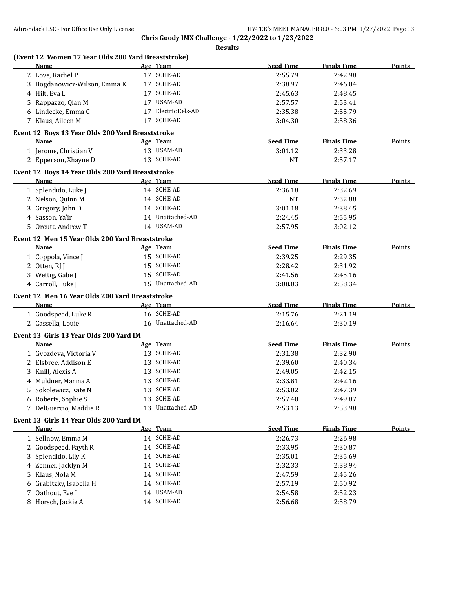|    | (Event 12 Women 17 Year Olds 200 Yard Breaststroke) |                     |                  |                    |               |
|----|-----------------------------------------------------|---------------------|------------------|--------------------|---------------|
|    | Name                                                | Age Team            | <b>Seed Time</b> | <b>Finals Time</b> | <b>Points</b> |
|    | 2 Love, Rachel P                                    | 17 SCHE-AD          | 2:55.79          | 2:42.98            |               |
|    | 3 Bogdanowicz-Wilson, Emma K                        | 17 SCHE-AD          | 2:38.97          | 2:46.04            |               |
|    | 4 Hilt, Eva L                                       | 17 SCHE-AD          | 2:45.63          | 2:48.45            |               |
|    | 5 Rappazzo, Qian M                                  | 17 USAM-AD          | 2:57.57          | 2:53.41            |               |
|    | 6 Lindecke, Emma C                                  | 17 Electric Eels-AD | 2:35.38          | 2:55.79            |               |
|    | 7 Klaus, Aileen M                                   | 17 SCHE-AD          | 3:04.30          | 2:58.36            |               |
|    | Event 12 Boys 13 Year Olds 200 Yard Breaststroke    |                     |                  |                    |               |
|    | Name                                                | Age Team            | <b>Seed Time</b> | <b>Finals Time</b> | Points        |
|    | 1 Jerome, Christian V                               | 13 USAM-AD          | 3:01.12          | 2:33.28            |               |
|    | 2 Epperson, Xhayne D                                | 13 SCHE-AD          | <b>NT</b>        | 2:57.17            |               |
|    | Event 12 Boys 14 Year Olds 200 Yard Breaststroke    |                     |                  |                    |               |
|    | Name                                                | Age Team            | <b>Seed Time</b> | <b>Finals Time</b> | <b>Points</b> |
|    | 1 Splendido, Luke J                                 | 14 SCHE-AD          | 2:36.18          | 2:32.69            |               |
|    | 2 Nelson, Quinn M                                   | 14 SCHE-AD          | <b>NT</b>        | 2:32.88            |               |
|    | 3 Gregory, John D                                   | 14 SCHE-AD          | 3:01.18          | 2:38.45            |               |
|    | 4 Sasson, Ya'ir                                     | 14 Unattached-AD    | 2:24.45          | 2:55.95            |               |
|    | 5 Orcutt, Andrew T                                  | 14 USAM-AD          | 2:57.95          | 3:02.12            |               |
|    | Event 12 Men 15 Year Olds 200 Yard Breaststroke     |                     |                  |                    |               |
|    | Name                                                | Age Team            | <b>Seed Time</b> | <b>Finals Time</b> | <b>Points</b> |
|    | 1 Coppola, Vince J                                  | 15 SCHE-AD          | 2:39.25          | 2:29.35            |               |
|    | 2 Otten, RJ J                                       | 15 SCHE-AD          | 2:28.42          | 2:31.92            |               |
|    | 3 Wettig, Gabe J                                    | 15 SCHE-AD          | 2:41.56          | 2:45.16            |               |
|    | 4 Carroll, Luke J                                   | 15 Unattached-AD    | 3:08.03          | 2:58.34            |               |
|    | Event 12 Men 16 Year Olds 200 Yard Breaststroke     |                     |                  |                    |               |
|    | Name                                                | Age Team            | <b>Seed Time</b> | <b>Finals Time</b> | <b>Points</b> |
|    | 1 Goodspeed, Luke R                                 | 16 SCHE-AD          | 2:15.76          | 2:21.19            |               |
|    | 2 Cassella, Louie                                   | 16 Unattached-AD    | 2:16.64          | 2:30.19            |               |
|    | Event 13 Girls 13 Year Olds 200 Yard IM             |                     |                  |                    |               |
|    | Name                                                | Age Team            | <b>Seed Time</b> | <b>Finals Time</b> | <b>Points</b> |
|    | 1 Gvozdeva, Victoria V                              | 13 SCHE-AD          | 2:31.38          | 2:32.90            |               |
|    | 2 Elsbree, Addison E                                | 13 SCHE-AD          | 2:39.60          | 2:40.34            |               |
|    | 3 Knill, Alexis A                                   | 13 SCHE-AD          | 2:49.05          | 2:42.15            |               |
|    | 4 Muldner, Marina A                                 | 13 SCHE-AD          | 2:33.81          | 2:42.16            |               |
|    | 5 Sokolewicz, Kate N                                | 13 SCHE-AD          | 2:53.02          | 2:47.39            |               |
|    | 6 Roberts, Sophie S                                 | 13 SCHE-AD          | 2:57.40          | 2:49.87            |               |
|    | 7 DelGuercio, Maddie R                              | 13 Unattached-AD    | 2:53.13          | 2:53.98            |               |
|    | Event 13 Girls 14 Year Olds 200 Yard IM             |                     |                  |                    |               |
|    | Name                                                | Age Team            | <b>Seed Time</b> | <b>Finals Time</b> | <b>Points</b> |
|    | 1 Sellnow, Emma M                                   | 14 SCHE-AD          | 2:26.73          | 2:26.98            |               |
|    | 2 Goodspeed, Fayth R                                | 14 SCHE-AD          | 2:33.95          | 2:30.87            |               |
| 3  | Splendido, Lily K                                   | 14 SCHE-AD          | 2:35.01          | 2:35.69            |               |
|    | 4 Zenner, Jacklyn M                                 | 14 SCHE-AD          | 2:32.33          | 2:38.94            |               |
| 5. | Klaus, Nola M                                       | 14 SCHE-AD          | 2:47.59          | 2:45.26            |               |
|    | 6 Grabitzky, Isabella H                             | 14 SCHE-AD          | 2:57.19          | 2:50.92            |               |
| 7  | Oathout, Eve L                                      | 14 USAM-AD          | 2:54.58          | 2:52.23            |               |
|    | 8 Horsch, Jackie A                                  | 14 SCHE-AD          | 2:56.68          | 2:58.79            |               |
|    |                                                     |                     |                  |                    |               |